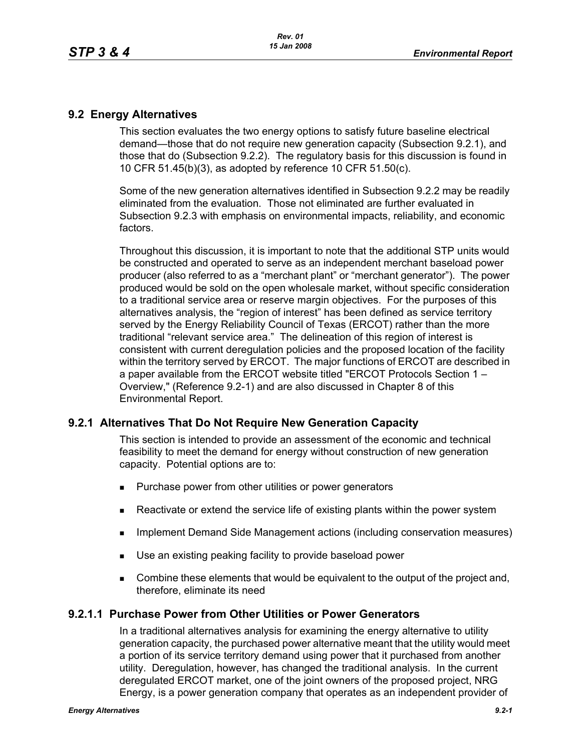### **9.2 Energy Alternatives**

This section evaluates the two energy options to satisfy future baseline electrical demand—those that do not require new generation capacity (Subsection 9.2.1), and those that do (Subsection 9.2.2). The regulatory basis for this discussion is found in 10 CFR 51.45(b)(3), as adopted by reference 10 CFR 51.50(c).

Some of the new generation alternatives identified in Subsection 9.2.2 may be readily eliminated from the evaluation. Those not eliminated are further evaluated in Subsection 9.2.3 with emphasis on environmental impacts, reliability, and economic factors.

Throughout this discussion, it is important to note that the additional STP units would be constructed and operated to serve as an independent merchant baseload power producer (also referred to as a "merchant plant" or "merchant generator"). The power produced would be sold on the open wholesale market, without specific consideration to a traditional service area or reserve margin objectives. For the purposes of this alternatives analysis, the "region of interest" has been defined as service territory served by the Energy Reliability Council of Texas (ERCOT) rather than the more traditional "relevant service area." The delineation of this region of interest is consistent with current deregulation policies and the proposed location of the facility within the territory served by ERCOT. The major functions of ERCOT are described in a paper available from the ERCOT website titled "ERCOT Protocols Section 1 – Overview," (Reference 9.2-1) and are also discussed in Chapter 8 of this Environmental Report.

# **9.2.1 Alternatives That Do Not Require New Generation Capacity**

This section is intended to provide an assessment of the economic and technical feasibility to meet the demand for energy without construction of new generation capacity. Potential options are to:

- **Purchase power from other utilities or power generators**
- **EXECT** Reactivate or extend the service life of existing plants within the power system
- **IMPLEMENTER IMPLEMENT MANAGEMENT ACTS IMPLEMENT CONSERVATION MANAGEMENT IMPLEMENT IMPLEMENT CONSET**
- Use an existing peaking facility to provide baseload power
- **Combine these elements that would be equivalent to the output of the project and,** therefore, eliminate its need

#### **9.2.1.1 Purchase Power from Other Utilities or Power Generators**

In a traditional alternatives analysis for examining the energy alternative to utility generation capacity, the purchased power alternative meant that the utility would meet a portion of its service territory demand using power that it purchased from another utility. Deregulation, however, has changed the traditional analysis. In the current deregulated ERCOT market, one of the joint owners of the proposed project, NRG Energy, is a power generation company that operates as an independent provider of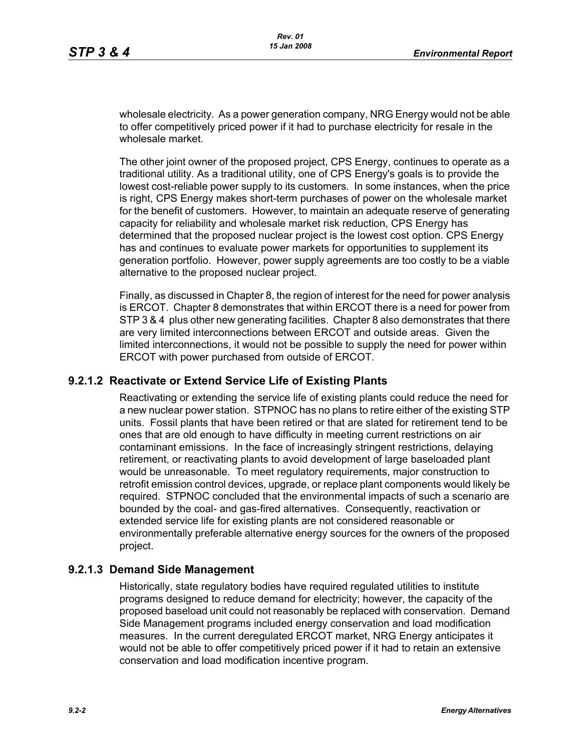wholesale electricity. As a power generation company, NRG Energy would not be able to offer competitively priced power if it had to purchase electricity for resale in the wholesale market

The other joint owner of the proposed project, CPS Energy, continues to operate as a traditional utility. As a traditional utility, one of CPS Energy's goals is to provide the lowest cost-reliable power supply to its customers. In some instances, when the price is right, CPS Energy makes short-term purchases of power on the wholesale market for the benefit of customers. However, to maintain an adequate reserve of generating capacity for reliability and wholesale market risk reduction, CPS Energy has determined that the proposed nuclear project is the lowest cost option. CPS Energy has and continues to evaluate power markets for opportunities to supplement its generation portfolio. However, power supply agreements are too costly to be a viable alternative to the proposed nuclear project.

Finally, as discussed in Chapter 8, the region of interest for the need for power analysis is ERCOT. Chapter 8 demonstrates that within ERCOT there is a need for power from STP 3 & 4 plus other new generating facilities. Chapter 8 also demonstrates that there are very limited interconnections between ERCOT and outside areas. Given the limited interconnections, it would not be possible to supply the need for power within ERCOT with power purchased from outside of ERCOT.

### **9.2.1.2 Reactivate or Extend Service Life of Existing Plants**

Reactivating or extending the service life of existing plants could reduce the need for a new nuclear power station. STPNOC has no plans to retire either of the existing STP units. Fossil plants that have been retired or that are slated for retirement tend to be ones that are old enough to have difficulty in meeting current restrictions on air contaminant emissions. In the face of increasingly stringent restrictions, delaying retirement, or reactivating plants to avoid development of large baseloaded plant would be unreasonable. To meet regulatory requirements, major construction to retrofit emission control devices, upgrade, or replace plant components would likely be required. STPNOC concluded that the environmental impacts of such a scenario are bounded by the coal- and gas-fired alternatives. Consequently, reactivation or extended service life for existing plants are not considered reasonable or environmentally preferable alternative energy sources for the owners of the proposed project.

#### **9.2.1.3 Demand Side Management**

Historically, state regulatory bodies have required regulated utilities to institute programs designed to reduce demand for electricity; however, the capacity of the proposed baseload unit could not reasonably be replaced with conservation. Demand Side Management programs included energy conservation and load modification measures. In the current deregulated ERCOT market, NRG Energy anticipates it would not be able to offer competitively priced power if it had to retain an extensive conservation and load modification incentive program.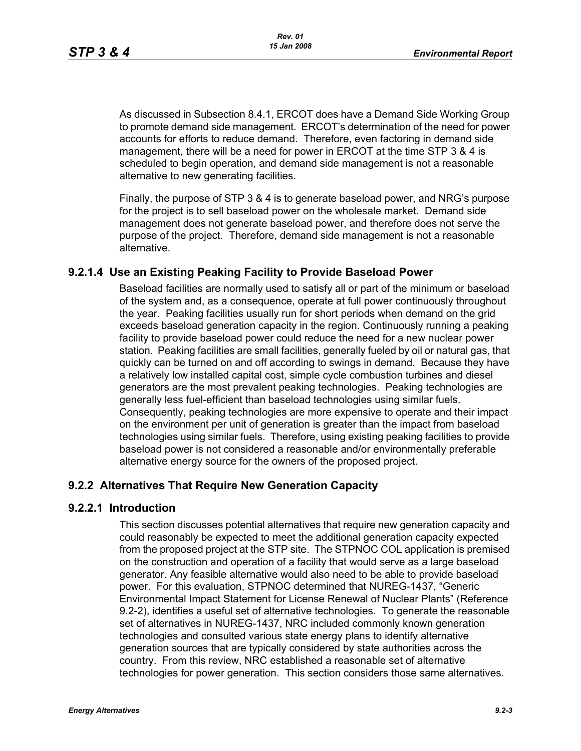As discussed in Subsection 8.4.1, ERCOT does have a Demand Side Working Group to promote demand side management. ERCOT's determination of the need for power accounts for efforts to reduce demand. Therefore, even factoring in demand side management, there will be a need for power in ERCOT at the time STP 3 & 4 is scheduled to begin operation, and demand side management is not a reasonable alternative to new generating facilities.

[Finally, the purpose of STP 3 & 4 is to generate baseload power, and NRG's purpose](http://www.eere.energy.gov/windandhydro/windpoweringamerica/pdfs/power_supply_guidebook.pdf)  for the project is to sell baseload power on the wholesale market. Demand side management does not generate baseload power, and therefore does not serve the purpose of the project. Therefore, demand side management is not a reasonable alternative.

### **9.2.1.4 Use an Existing Peaking Facility to Provide Baseload Power**

Baseload facilities are normally used to satisfy all or part of the minimum or baseload of the system and, as a consequence, operate at full power continuously throughout the year. Peaking facilities usually run for short periods when demand on the grid exceeds baseload generation capacity in the region. Continuously running a peaking facility to provide baseload power could reduce the need for a new nuclear power station. Peaking facilities are small facilities, generally fueled by oil or natural gas, that quickly can be turned on and off according to swings in demand. Because they have a relatively low installed capital cost, simple cycle combustion turbines and diesel generators are the most prevalent peaking technologies. Peaking technologies are generally less fuel-efficient than baseload technologies using similar fuels. Consequently, peaking technologies are more expensive to operate and their impact on the environment per unit of generation is greater than the impact from baseload technologies using similar fuels. Therefore, using existing peaking facilities to provide baseload power is not considered a reasonable and/or environmentally preferable alternative energy source for the owners of the proposed project.

#### **9.2.2 Alternatives That Require New Generation Capacity**

#### **9.2.2.1 Introduction**

This section discusses potential alternatives that require new generation capacity and could reasonably be expected to meet the additional generation capacity expected from the proposed project at the STP site. The STPNOC COL application is premised on the construction and operation of a facility that would serve as a large baseload generator. Any feasible alternative would also need to be able to provide baseload power. For this evaluation, STPNOC determined that NUREG-1437, "Generic Environmental Impact Statement for License Renewal of Nuclear Plants" (Reference 9.2-2), identifies a useful set of alternative technologies. To generate the reasonable set of alternatives in NUREG-1437, NRC included commonly known generation technologies and consulted various state energy plans to identify alternative generation sources that are typically considered by state authorities across the country. From this review, NRC established a reasonable set of alternative technologies for power generation. This section considers those same alternatives.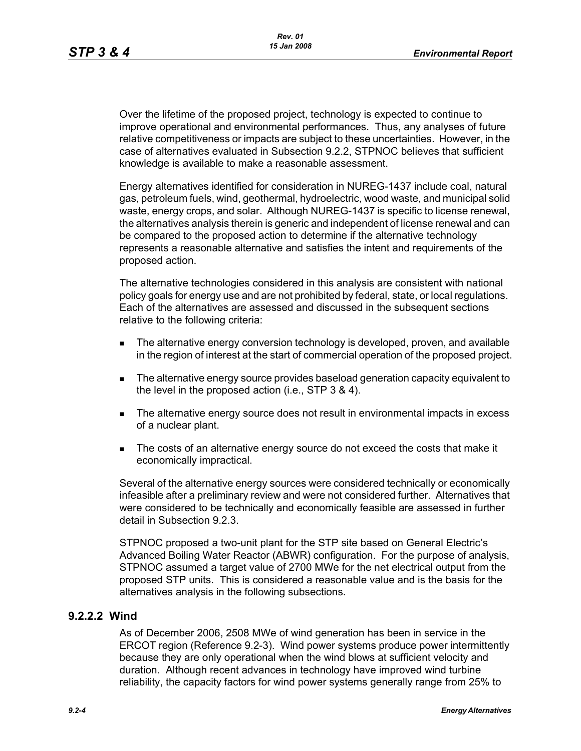Over the lifetime of the proposed project, technology is expected to continue to improve operational and environmental performances. Thus, any analyses of future relative competitiveness or impacts are subject to these uncertainties. However, in the case of alternatives evaluated in Subsection 9.2.2, STPNOC believes that sufficient knowledge is available to make a reasonable assessment.

Energy alternatives identified for consideration in NUREG-1437 include coal, natural gas, petroleum fuels, wind, geothermal, hydroelectric, wood waste, and municipal solid waste, energy crops, and solar. Although NUREG-1437 is specific to license renewal, the alternatives analysis therein is generic and independent of license renewal and can be compared to the proposed action to determine if the alternative technology represents a reasonable alternative and satisfies the intent and requirements of the proposed action.

The alternative technologies considered in this analysis are consistent with national policy goals for energy use and are not prohibited by federal, state, or local regulations. Each of the alternatives are assessed and discussed in the subsequent sections relative to the following criteria:

- **The alternative energy conversion technology is developed, proven, and available** in the region of interest at the start of commercial operation of the proposed project.
- The alternative energy source provides baseload generation capacity equivalent to the level in the proposed action (i.e., STP 3 & 4).
- The alternative energy source does not result in environmental impacts in excess of a nuclear plant.
- The costs of an alternative energy source do not exceed the costs that make it economically impractical.

Several of the alternative energy sources were considered technically or economically infeasible after a preliminary review and were not considered further. Alternatives that were considered to be technically and economically feasible are assessed in further detail in Subsection 9.2.3.

STPNOC proposed a two-unit plant for the STP site based on General Electric's Advanced Boiling Water Reactor (ABWR) configuration. For the purpose of analysis, STPNOC assumed a target value of 2700 MWe for the net electrical output from the proposed STP units. This is considered a reasonable value and is the basis for the alternatives analysis in the following subsections.

#### **9.2.2.2 Wind**

As of December 2006, 2508 MWe of wind generation has been in service in the ERCOT region (Reference 9.2-3). Wind power systems produce power intermittently because they are only operational when the wind blows at sufficient velocity and duration. Although recent advances in technology have improved wind turbine reliability, the capacity factors for wind power systems generally range from 25% to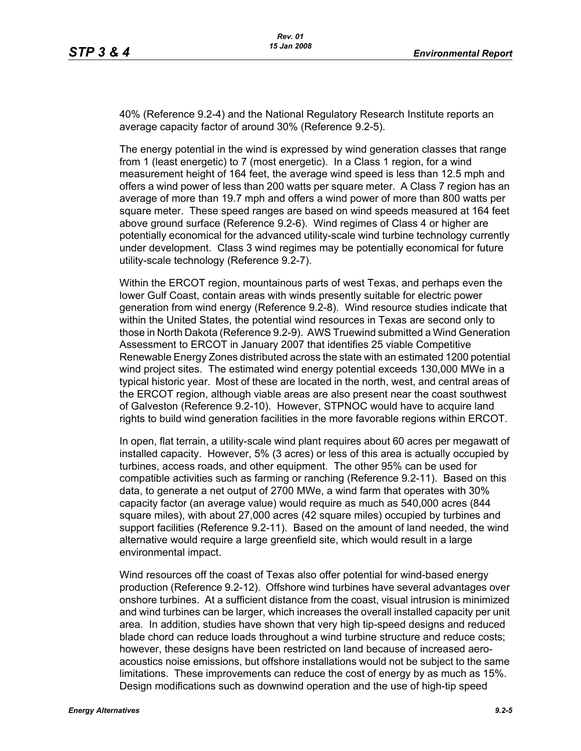40% (Reference 9.2-4) and the National Regulatory Research Institute reports an average capacity factor of around 30% (Reference 9.2-5).

The energy potential in the wind is expressed by wind generation classes that range from 1 (least energetic) to 7 (most energetic). In a Class 1 region, for a wind measurement height of 164 feet, the average wind speed is less than 12.5 mph and offers a wind power of less than 200 watts per square meter. A Class 7 region has an average of more than 19.7 mph and offers a wind power of more than 800 watts per square meter. These speed ranges are based on wind speeds measured at 164 feet above ground surface (Reference 9.2-6). Wind regimes of Class 4 or higher are potentially economical for the advanced utility-scale wind turbine technology currently under development. Class 3 wind regimes may be potentially economical for future utility-scale technology (Reference 9.2-7).

Within the ERCOT region, mountainous parts of west Texas, and perhaps even the lower Gulf Coast, contain areas with winds presently suitable for electric power generation from wind energy (Reference 9.2-8). Wind resource studies indicate that within the United States, the potential wind resources in Texas are second only to those in North Dakota (Reference 9.2-9). AWS Truewind submitted a Wind Generation Assessment to ERCOT in January 2007 that identifies 25 viable Competitive Renewable Energy Zones distributed across the state with an estimated 1200 potential wind project sites. The estimated wind energy potential exceeds 130,000 MWe in a typical historic year. Most of these are located in the north, west, and central areas of the ERCOT region, although viable areas are also present near the coast southwest of Galveston (Reference 9.2-10). However, STPNOC would have to acquire land rights to build wind generation facilities in the more favorable regions within ERCOT.

In open, flat terrain, a utility-scale wind plant requires about 60 acres per megawatt of installed capacity. However, 5% (3 acres) or less of this area is actually occupied by turbines, access roads, and other equipment. The other 95% can be used for compatible activities such as farming or ranching (Reference 9.2-11). Based on this data, to generate a net output of 2700 MWe, a wind farm that operates with 30% capacity factor (an average value) would require as much as 540,000 acres (844 square miles), with about 27,000 acres (42 square miles) occupied by turbines and support facilities (Reference 9.2-11). Based on the amount of land needed, the wind alternative would require a large greenfield site, which would result in a large environmental impact.

Wind resources off the coast of Texas also offer potential for wind-based energy production (Reference 9.2-12). Offshore wind turbines have several advantages over onshore turbines. At a sufficient distance from the coast, visual intrusion is minimized and wind turbines can be larger, which increases the overall installed capacity per unit area. In addition, studies have shown that very high tip-speed designs and reduced blade chord can reduce loads throughout a wind turbine structure and reduce costs; however, these designs have been restricted on land because of increased aeroacoustics noise emissions, but offshore installations would not be subject to the same limitations. These improvements can reduce the cost of energy by as much as 15%. Design modifications such as downwind operation and the use of high-tip speed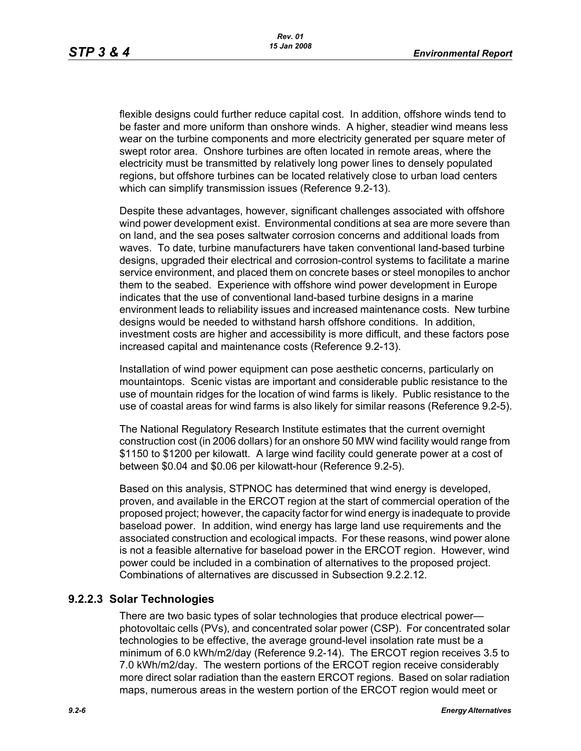flexible designs could further reduce capital cost. In addition, offshore winds tend to be faster and more uniform than onshore winds. A higher, steadier wind means less wear on the turbine components and more electricity generated per square meter of swept rotor area. Onshore turbines are often located in remote areas, where the electricity must be transmitted by relatively long power lines to densely populated regions, but offshore turbines can be located relatively close to urban load centers which can simplify transmission issues (Reference 9.2-13).

[Despite these advantages, however, significant challenges associated with offshore](http://www.nrri.ohio-state.edu/)  [wind power development exist. Environmental conditions at sea are more severe than](http://www.nrri.ohio-state.edu/)  on land, and the sea poses saltwater corrosion concerns and additional loads from waves. To date, turbine manufacturers have taken conventional land-based turbine designs, upgraded their electrical and corrosion-control systems to facilitate a marine service environment, and placed them on concrete bases or steel monopiles to anchor them to the seabed. Experience with offshore wind power development in Europe [indicates that the use of conventional land-based turbine designs in a marine](http://www.nrri.ohio-state.edu/)  [environment leads to reliability issues and increased maintenance costs. New turbine](http://www.nrri.ohio-state.edu/)  designs would be needed to withstand harsh offshore conditions. In addition, investment costs are higher and accessibility is more difficult, and these factors pose increased capital and maintenance costs (Reference 9.2-13).

Installation of wind power equipment can pose aesthetic concerns, particularly on mountaintops. Scenic vistas are important and considerable public resistance to the use of mountain ridges for the location of wind farms is likely. Public resistance to the use of coastal areas for wind farms is also likely for similar reasons (Reference 9.2-5).

The National Regulatory Research Institute estimates that the current overnight construction cost (in 2006 dollars) for an onshore 50 MW wind facility would range from \$1150 to \$1200 per kilowatt. A large wind facility could generate power at a cost of between \$0.04 and \$0.06 per kilowatt-hour (Reference 9.2-5).

Based on this analysis, STPNOC has determined that wind energy is developed, proven, and available in the ERCOT region at the start of commercial operation of the [proposed project; however, the capacity factor for wind energy is inadequate to provide](http://www.infinitepower.org/resgeothermal.htm)  baseload power. In addition, wind energy has large land use requirements and the associated construction and ecological impacts. For these reasons, wind power alone is not a feasible alternative for baseload power in the ERCOT region. However, wind power could be included in a combination of alternatives to the proposed project. Combinations of alternatives are discussed in Subsection 9.2.2.12.

#### **9.2.2.3 Solar Technologies**

There are two basic types of solar technologies that produce electrical power photovoltaic cells (PVs), and concentrated solar power (CSP). For concentrated solar technologies to be effective, the average ground-level insolation rate must be a minimum of 6.0 kWh/m2/day (Reference 9.2-14). The ERCOT region receives 3.5 to 7.0 kWh/m2/day. The western portions of the ERCOT region receive considerably more direct solar radiation than the eastern ERCOT regions. Based on solar radiation maps, numerous areas in the western portion of the ERCOT region would meet or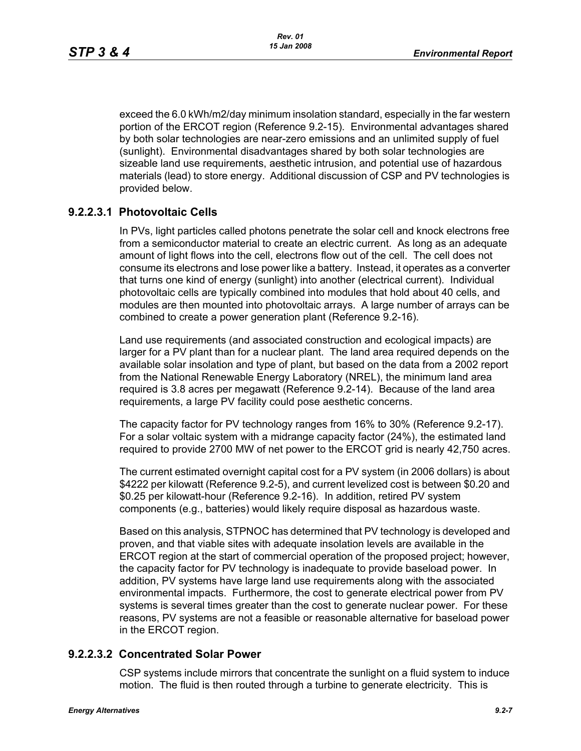exceed the 6.0 kWh/m2/day minimum insolation standard, especially in the far western portion of the ERCOT region (Reference 9.2-15). Environmental advantages shared by both solar technologies are near-zero emissions and an unlimited supply of fuel (sunlight). Environmental disadvantages shared by both solar technologies are sizeable land use requirements, aesthetic intrusion, and potential use of hazardous materials (lead) to store energy. Additional discussion of CSP and PV technologies is provided below.

# **9.2.2.3.1 Photovoltaic Cells**

In PVs, light particles called photons penetrate the solar cell and knock electrons free from a semiconductor material to create an electric current. As long as an adequate amount of light flows into the cell, electrons flow out of the cell. The cell does not consume its electrons and lose power like a battery. Instead, it operates as a converter that turns one kind of energy (sunlight) into another (electrical current). Individual photovoltaic cells are typically combined into modules that hold about 40 cells, and modules are then mounted into photovoltaic arrays. A large number of arrays can be combined to create a power generation plant (Reference 9.2-16).

Land use requirements (and associated construction and ecological impacts) are larger for a PV plant than for a nuclear plant. The land area required depends on the available solar insolation and type of plant, but based on the data from a 2002 report from the National Renewable Energy Laboratory (NREL), the minimum land area required is 3.8 acres per megawatt (Reference 9.2-14). Because of the land area requirements, a large PV facility could pose aesthetic concerns.

The capacity factor for PV technology ranges from 16% to 30% (Reference 9.2-17). For a solar voltaic system with a midrange capacity factor (24%), the estimated land required to provide 2700 MW of net power to the ERCOT grid is nearly 42,750 acres.

The current estimated overnight capital cost for a PV system (in 2006 dollars) is about \$4222 per kilowatt (Reference 9.2-5), and current levelized cost is between \$0.20 and \$0.25 per kilowatt-hour (Reference 9.2-16). In addition, retired PV system components (e.g., batteries) would likely require disposal as hazardous waste.

Based on this analysis, STPNOC has determined that PV technology is developed and proven, and that viable sites with adequate insolation levels are available in the ERCOT region at the start of commercial operation of the proposed project; however, the capacity factor for PV technology is inadequate to provide baseload power. In addition, PV systems have large land use requirements along with the associated environmental impacts. Furthermore, the cost to generate electrical power from PV systems is several times greater than the cost to generate nuclear power. For these reasons, PV systems are not a feasible or reasonable alternative for baseload power in the ERCOT region.

# **9.2.2.3.2 Concentrated Solar Power**

CSP systems include mirrors that concentrate the sunlight on a fluid system to induce motion. The fluid is then routed through a turbine to generate electricity. This is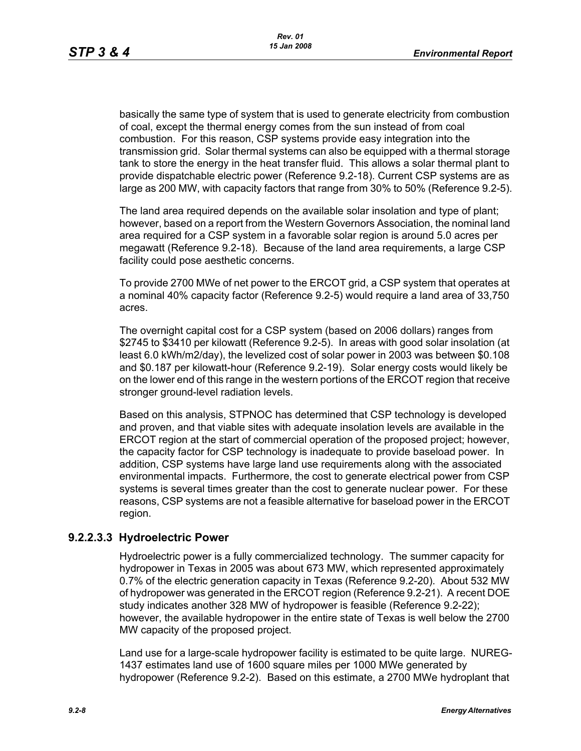basically the same type of system that is used to generate electricity from combustion of coal, except the thermal energy comes from the sun instead of from coal combustion. For this reason, CSP systems provide easy integration into the transmission grid. Solar thermal systems can also be equipped with a thermal storage tank to store the energy in the heat transfer fluid. This allows a solar thermal plant to provide dispatchable electric power (Reference 9.2-18). Current CSP systems are as large as 200 MW, with capacity factors that range from 30% to 50% (Reference 9.2-5).

The land area required depends on the available solar insolation and type of plant; however, based on a report from the Western Governors Association, the nominal land area required for a CSP system in a favorable solar region is around 5.0 acres per megawatt (Reference 9.2-18). Because of the land area requirements, a large CSP facility could pose aesthetic concerns.

To provide 2700 MWe of net power to the ERCOT grid, a CSP system that operates at a nominal 40% capacity factor (Reference 9.2-5) would require a land area of 33,750 acres.

The overnight capital cost for a CSP system (based on 2006 dollars) ranges from \$2745 to \$3410 per kilowatt (Reference 9.2-5). In areas with good solar insolation (at least 6.0 kWh/m2/day), the levelized cost of solar power in 2003 was between \$0.108 and \$0.187 per kilowatt-hour (Reference 9.2-19). Solar energy costs would likely be on the lower end of this range in the western portions of the ERCOT region that receive stronger ground-level radiation levels.

Based on this analysis, STPNOC has determined that CSP technology is developed and proven, and that viable sites with adequate insolation levels are available in the ERCOT region at the start of commercial operation of the proposed project; however, the capacity factor for CSP technology is inadequate to provide baseload power. In addition, CSP systems have large land use requirements along with the associated environmental impacts. Furthermore, the cost to generate electrical power from CSP systems is several times greater than the cost to generate nuclear power. For these reasons, CSP systems are not a feasible alternative for baseload power in the ERCOT region.

# **9.2.2.3.3 Hydroelectric Power**

Hydroelectric power is a fully commercialized technology. The summer capacity for hydropower in Texas in 2005 was about 673 MW, which represented approximately 0.7% of the electric generation capacity in Texas (Reference 9.2-20). About 532 MW of hydropower was generated in the ERCOT region (Reference 9.2-21). A recent DOE study indicates another 328 MW of hydropower is feasible (Reference 9.2-22); however, the available hydropower in the entire state of Texas is well below the 2700 MW capacity of the proposed project.

Land use for a large-scale hydropower facility is estimated to be quite large. NUREG-1437 estimates land use of 1600 square miles per 1000 MWe generated by hydropower (Reference 9.2-2). Based on this estimate, a 2700 MWe hydroplant that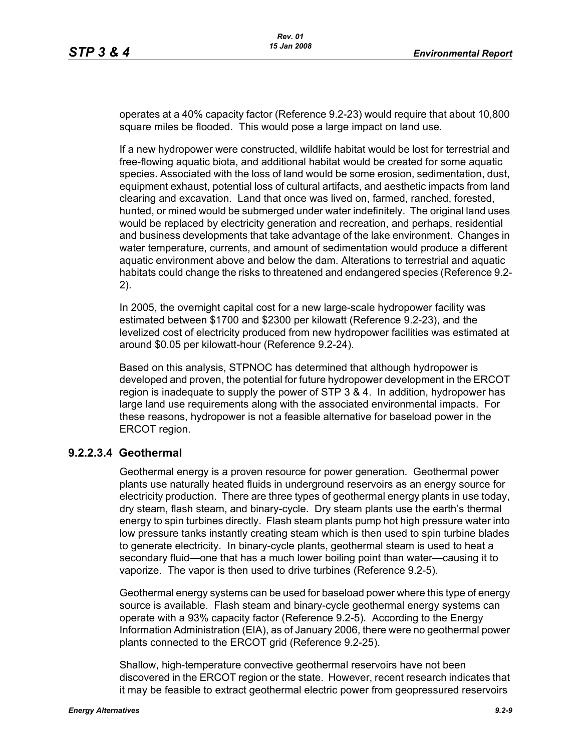operates at a 40% capacity factor (Reference 9.2-23) would require that about 10,800 square miles be flooded. This would pose a large impact on land use.

If a new hydropower were constructed, wildlife habitat would be lost for terrestrial and free-flowing aquatic biota, and additional habitat would be created for some aquatic species. Associated with the loss of land would be some erosion, sedimentation, dust, equipment exhaust, potential loss of cultural artifacts, and aesthetic impacts from land clearing and excavation. Land that once was lived on, farmed, ranched, forested, hunted, or mined would be submerged under water indefinitely. The original land uses would be replaced by electricity generation and recreation, and perhaps, residential and business developments that take advantage of the lake environment. Changes in water temperature, currents, and amount of sedimentation would produce a different aquatic environment above and below the dam. Alterations to terrestrial and aquatic habitats could change the risks to threatened and endangered species (Reference 9.2- 2).

In 2005, the overnight capital cost for a new large-scale hydropower facility was estimated between \$1700 and \$2300 per kilowatt (Reference 9.2-23), and the levelized cost of electricity produced from new hydropower facilities was estimated at around \$0.05 per kilowatt-hour (Reference 9.2-24).

Based on this analysis, STPNOC has determined that although hydropower is developed and proven, the potential for future hydropower development in the ERCOT region is inadequate to supply the power of STP 3 & 4. In addition, hydropower has large land use requirements along with the associated environmental impacts. For these reasons, hydropower is not a feasible alternative for baseload power in the ERCOT region.

#### **9.2.2.3.4 Geothermal**

Geothermal energy is a proven resource for power generation. Geothermal power plants use naturally heated fluids in underground reservoirs as an energy source for electricity production. There are three types of geothermal energy plants in use today, dry steam, flash steam, and binary-cycle. Dry steam plants use the earth's thermal energy to spin turbines directly. Flash steam plants pump hot high pressure water into low pressure tanks instantly creating steam which is then used to spin turbine blades to generate electricity. In binary-cycle plants, geothermal steam is used to heat a secondary fluid—one that has a much lower boiling point than water—causing it to vaporize. The vapor is then used to drive turbines (Reference 9.2-5).

Geothermal energy systems can be used for baseload power where this type of energy source is available. Flash steam and binary-cycle geothermal energy systems can operate with a 93% capacity factor (Reference 9.2-5). According to the Energy Information Administration (EIA), as of January 2006, there were no geothermal power plants connected to the ERCOT grid (Reference 9.2-25).

Shallow, high-temperature convective geothermal reservoirs have not been discovered in the ERCOT region or the state. However, recent research indicates that it may be feasible to extract geothermal electric power from geopressured reservoirs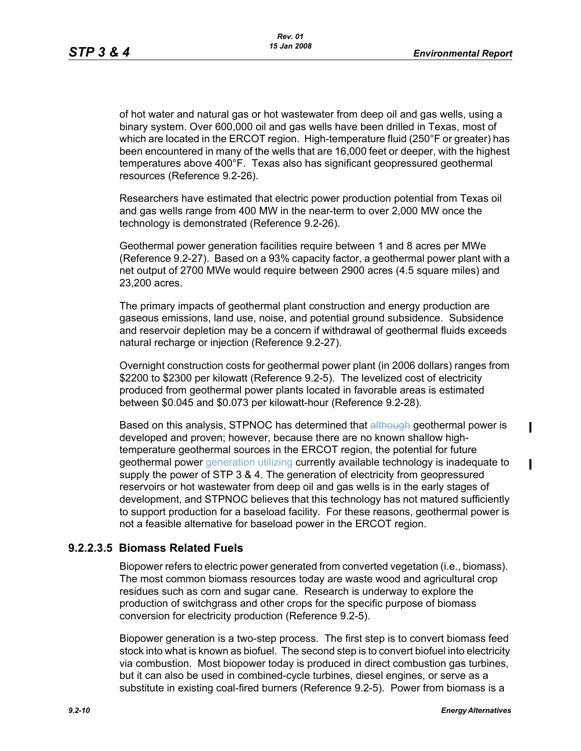of hot water and natural gas or hot wastewater from deep oil and gas wells, using a binary system. Over 600,000 oil and gas wells have been drilled in Texas, most of which are located in the ERCOT region. High-temperature fluid (250°F or greater) has been encountered in many of the wells that are 16,000 feet or deeper, with the highest temperatures above 400°F. Texas also has significant geopressured geothermal resources (Reference 9.2-26).

Researchers have estimated that electric power production potential from Texas oil and gas wells range from 400 MW in the near-term to over 2,000 MW once the technology is demonstrated (Reference 9.2-26).

Geothermal power generation facilities require between 1 and 8 acres per MWe (Reference 9.2-27). Based on a 93% capacity factor, a geothermal power plant with a net output of 2700 MWe would require between 2900 acres (4.5 square miles) and 23,200 acres.

The primary impacts of geothermal plant construction and energy production are gaseous emissions, land use, noise, and potential ground subsidence. Subsidence and reservoir depletion may be a concern if withdrawal of geothermal fluids exceeds natural recharge or injection (Reference 9.2-27).

Overnight construction costs for geothermal power plant (in 2006 dollars) ranges from \$2200 to \$2300 per kilowatt (Reference 9.2-5). The levelized cost of electricity produced from geothermal power plants located in favorable areas is estimated between \$0.045 and \$0.073 per kilowatt-hour (Reference 9.2-28).

Based on this analysis, STPNOC has determined that although geothermal power is developed and proven; however, because there are no known shallow hightemperature geothermal sources in the ERCOT region, the potential for future geothermal power generation utilizing currently available technology is inadequate to supply the power of STP 3 & 4. The generation of electricity from geopressured reservoirs or hot wastewater from deep oil and gas wells is in the early stages of development, and STPNOC believes that this technology has not matured sufficiently to support production for a baseload facility. For these reasons, geothermal power is not a feasible alternative for baseload power in the ERCOT region.

# **9.2.2.3.5 Biomass Related Fuels**

Biopower refers to electric power generated from converted vegetation (i.e., biomass). The most common biomass resources today are waste wood and agricultural crop residues such as corn and sugar cane. Research is underway to explore the production of switchgrass and other crops for the specific purpose of biomass conversion for electricity production (Reference 9.2-5).

Biopower generation is a two-step process. The first step is to convert biomass feed stock into what is known as biofuel. The second step is to convert biofuel into electricity via combustion. Most biopower today is produced in direct combustion gas turbines, but it can also be used in combined-cycle turbines, diesel engines, or serve as a substitute in existing coal-fired burners (Reference 9.2-5). Power from biomass is a

 $\mathbf I$ 

 $\mathbf I$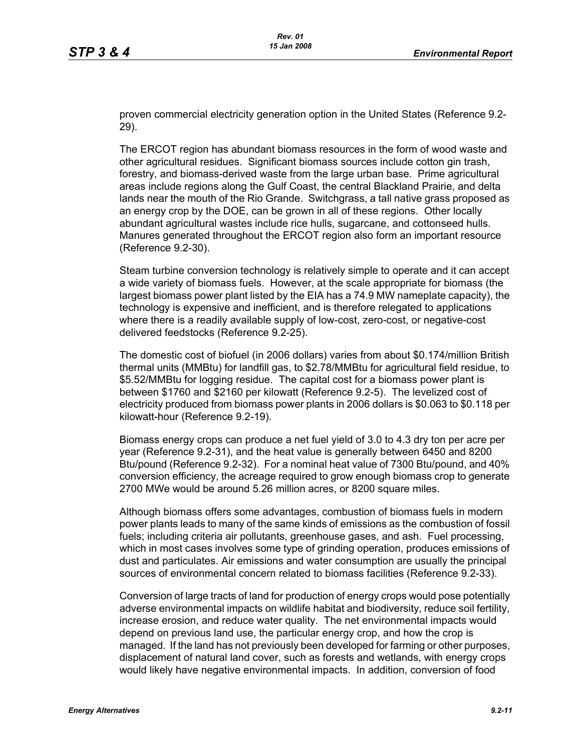proven commercial electricity generation option in the United States (Reference 9.2- 29).

The ERCOT region has abundant biomass resources in the form of wood waste and other agricultural residues. Significant biomass sources include cotton gin trash, forestry, and biomass-derived waste from the large urban base. Prime agricultural areas include regions along the Gulf Coast, the central Blackland Prairie, and delta lands near the mouth of the Rio Grande. Switchgrass, a tall native grass proposed as an energy crop by the DOE, can be grown in all of these regions. Other locally abundant agricultural wastes include rice hulls, sugarcane, and cottonseed hulls. Manures generated throughout the ERCOT region also form an important resource (Reference 9.2-30).

Steam turbine conversion technology is relatively simple to operate and it can accept a wide variety of biomass fuels. However, at the scale appropriate for biomass (the largest biomass power plant listed by the EIA has a 74.9 MW nameplate capacity), the technology is expensive and inefficient, and is therefore relegated to applications where there is a readily available supply of low-cost, zero-cost, or negative-cost delivered feedstocks (Reference 9.2-25).

The domestic cost of biofuel (in 2006 dollars) varies from about \$0.174/million British thermal units (MMBtu) for landfill gas, to \$2.78/MMBtu for agricultural field residue, to \$5.52/MMBtu for logging residue. The capital cost for a biomass power plant is between \$1760 and \$2160 per kilowatt (Reference 9.2-5). The levelized cost of electricity produced from biomass power plants in 2006 dollars is \$0.063 to \$0.118 per kilowatt-hour (Reference 9.2-19).

Biomass energy crops can produce a net fuel yield of 3.0 to 4.3 dry ton per acre per year (Reference 9.2-31), and the heat value is generally between 6450 and 8200 Btu/pound (Reference 9.2-32). For a nominal heat value of 7300 Btu/pound, and 40% conversion efficiency, the acreage required to grow enough biomass crop to generate 2700 MWe would be around 5.26 million acres, or 8200 square miles.

Although biomass offers some advantages, combustion of biomass fuels in modern power plants leads to many of the same kinds of emissions as the combustion of fossil fuels; including criteria air pollutants, greenhouse gases, and ash. Fuel processing, which in most cases involves some type of grinding operation, produces emissions of dust and particulates. Air emissions and water consumption are usually the principal sources of environmental concern related to biomass facilities (Reference 9.2-33).

Conversion of large tracts of land for production of energy crops would pose potentially adverse environmental impacts on wildlife habitat and biodiversity, reduce soil fertility, increase erosion, and reduce water quality. The net environmental impacts would depend on previous land use, the particular energy crop, and how the crop is managed. If the land has not previously been developed for farming or other purposes, displacement of natural land cover, such as forests and wetlands, with energy crops would likely have negative environmental impacts. In addition, conversion of food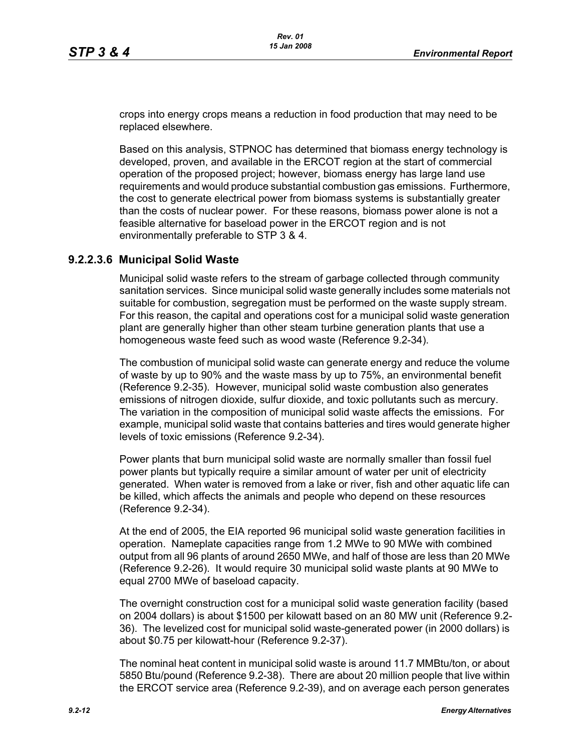crops into energy crops means a reduction in food production that may need to be replaced elsewhere.

Based on this analysis, STPNOC has determined that biomass energy technology is developed, proven, and available in the ERCOT region at the start of commercial operation of the proposed project; however, biomass energy has large land use requirements and would produce substantial combustion gas emissions. Furthermore, the cost to generate electrical power from biomass systems is substantially greater than the costs of nuclear power. For these reasons, biomass power alone is not a feasible alternative for baseload power in the ERCOT region and is not environmentally preferable to STP 3 & 4.

### **9.2.2.3.6 Municipal Solid Waste**

Municipal solid waste refers to the stream of garbage collected through community sanitation services. Since municipal solid waste generally includes some materials not suitable for combustion, segregation must be performed on the waste supply stream. For this reason, the capital and operations cost for a municipal solid waste generation plant are generally higher than other steam turbine generation plants that use a homogeneous waste feed such as wood waste (Reference 9.2-34).

The combustion of municipal solid waste can generate energy and reduce the volume of waste by up to 90% and the waste mass by up to 75%, an environmental benefit (Reference 9.2-35). However, municipal solid waste combustion also generates emissions of nitrogen dioxide, sulfur dioxide, and toxic pollutants such as mercury. The variation in the composition of municipal solid waste affects the emissions. For example, municipal solid waste that contains batteries and tires would generate higher levels of toxic emissions (Reference 9.2-34).

Power plants that burn municipal solid waste are normally smaller than fossil fuel power plants but typically require a similar amount of water per unit of electricity generated. When water is removed from a lake or river, fish and other aquatic life can be killed, which affects the animals and people who depend on these resources (Reference 9.2-34).

At the end of 2005, the EIA reported 96 municipal solid waste generation facilities in operation. Nameplate capacities range from 1.2 MWe to 90 MWe with combined output from all 96 plants of around 2650 MWe, and half of those are less than 20 MWe (Reference 9.2-26). It would require 30 municipal solid waste plants at 90 MWe to equal 2700 MWe of baseload capacity.

The overnight construction cost for a municipal solid waste generation facility (based on 2004 dollars) is about \$1500 per kilowatt based on an 80 MW unit (Reference 9.2- 36). The levelized cost for municipal solid waste-generated power (in 2000 dollars) is about \$0.75 per kilowatt-hour (Reference 9.2-37).

The nominal heat content in municipal solid waste is around 11.7 MMBtu/ton, or about 5850 Btu/pound (Reference 9.2-38). There are about 20 million people that live within the ERCOT service area (Reference 9.2-39), and on average each person generates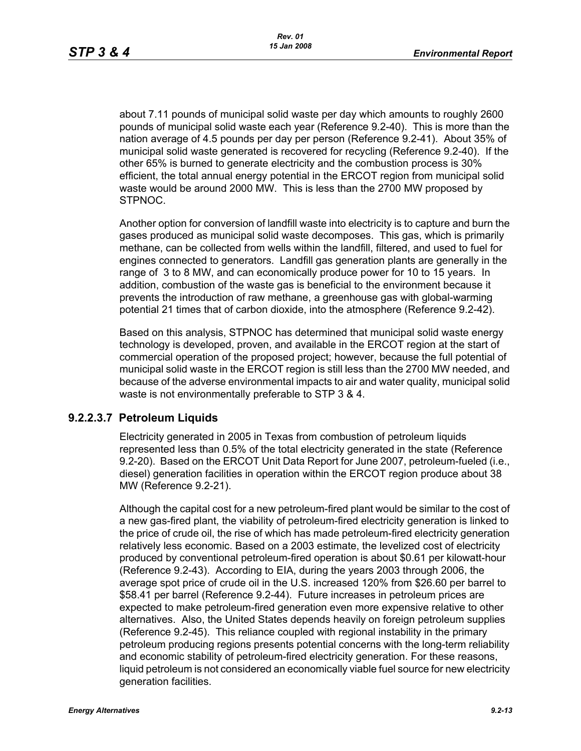about 7.11 pounds of municipal solid waste per day which amounts to roughly 2600 pounds of municipal solid waste each year (Reference 9.2-40). This is more than the nation average of 4.5 pounds per day per person (Reference 9.2-41). About 35% of municipal solid waste generated is recovered for recycling (Reference 9.2-40). If the other 65% is burned to generate electricity and the combustion process is 30% efficient, the total annual energy potential in the ERCOT region from municipal solid waste would be around 2000 MW. This is less than the 2700 MW proposed by STPNOC.

Another option for conversion of landfill waste into electricity is to capture and burn the gases produced as municipal solid waste decomposes. This gas, which is primarily methane, can be collected from wells within the landfill, filtered, and used to fuel for engines connected to generators. Landfill gas generation plants are generally in the range of 3 to 8 MW, and can economically produce power for 10 to 15 years. In addition, combustion of the waste gas is beneficial to the environment because it prevents the introduction of raw methane, a greenhouse gas with global-warming potential 21 times that of carbon dioxide, into the atmosphere (Reference 9.2-42).

Based on this analysis, STPNOC has determined that municipal solid waste energy technology is developed, proven, and available in the ERCOT region at the start of commercial operation of the proposed project; however, because the full potential of municipal solid waste in the ERCOT region is still less than the 2700 MW needed, and because of the adverse environmental impacts to air and water quality, municipal solid waste is not environmentally preferable to STP 3 & 4.

#### **9.2.2.3.7 Petroleum Liquids**

Electricity generated in 2005 in Texas from combustion of petroleum liquids represented less than 0.5% of the total electricity generated in the state (Reference 9.2-20). Based on the ERCOT Unit Data Report for June 2007, petroleum-fueled (i.e., diesel) generation facilities in operation within the ERCOT region produce about 38 MW (Reference 9.2-21).

Although the capital cost for a new petroleum-fired plant would be similar to the cost of a new gas-fired plant, the viability of petroleum-fired electricity generation is linked to the price of crude oil, the rise of which has made petroleum-fired electricity generation relatively less economic. Based on a 2003 estimate, the levelized cost of electricity produced by conventional petroleum-fired operation is about \$0.61 per kilowatt-hour (Reference 9.2-43). According to EIA, during the years 2003 through 2006, the average spot price of crude oil in the U.S. increased 120% from \$26.60 per barrel to \$58.41 per barrel (Reference 9.2-44). Future increases in petroleum prices are expected to make petroleum-fired generation even more expensive relative to other alternatives. Also, the United States depends heavily on foreign petroleum supplies (Reference 9.2-45). This reliance coupled with regional instability in the primary petroleum producing regions presents potential concerns with the long-term reliability and economic stability of petroleum-fired electricity generation. For these reasons, liquid petroleum is not considered an economically viable fuel source for new electricity generation facilities.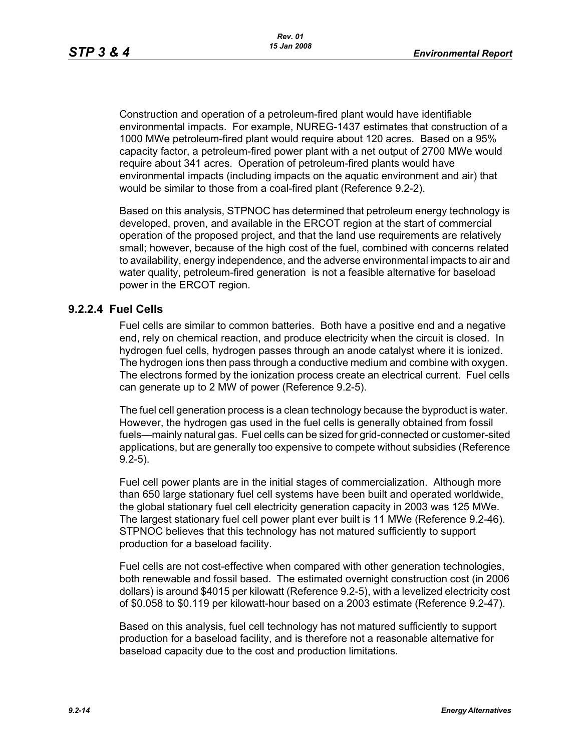Construction and operation of a petroleum-fired plant would have identifiable environmental impacts. For example, NUREG-1437 estimates that construction of a 1000 MWe petroleum-fired plant would require about 120 acres. Based on a 95% capacity factor, a petroleum-fired power plant with a net output of 2700 MWe would require about 341 acres. Operation of petroleum-fired plants would have environmental impacts (including impacts on the aquatic environment and air) that would be similar to those from a coal-fired plant (Reference 9.2-2).

Based on this analysis, STPNOC has determined that petroleum energy technology is developed, proven, and available in the ERCOT region at the start of commercial operation of the proposed project, and that the land use requirements are relatively small; however, because of the high cost of the fuel, combined with concerns related to availability, energy independence, and the adverse environmental impacts to air and water quality, petroleum-fired generation is not a feasible alternative for baseload power in the ERCOT region.

### **9.2.2.4 Fuel Cells**

Fuel cells are similar to common batteries. Both have a positive end and a negative end, rely on chemical reaction, and produce electricity when the circuit is closed. In hydrogen fuel cells, hydrogen passes through an anode catalyst where it is ionized. The hydrogen ions then pass through a conductive medium and combine with oxygen. The electrons formed by the ionization process create an electrical current. Fuel cells can generate up to 2 MW of power (Reference 9.2-5).

The fuel cell generation process is a clean technology because the byproduct is water. However, the hydrogen gas used in the fuel cells is generally obtained from fossil fuels—mainly natural gas. Fuel cells can be sized for grid-connected or customer-sited applications, but are generally too expensive to compete without subsidies (Reference 9.2-5).

Fuel cell power plants are in the initial stages of commercialization. Although more than 650 large stationary fuel cell systems have been built and operated worldwide, the global stationary fuel cell electricity generation capacity in 2003 was 125 MWe. The largest stationary fuel cell power plant ever built is 11 MWe (Reference 9.2-46). STPNOC believes that this technology has not matured sufficiently to support production for a baseload facility.

Fuel cells are not cost-effective when compared with other generation technologies, both renewable and fossil based. The estimated overnight construction cost (in 2006 dollars) is around \$4015 per kilowatt (Reference 9.2-5), with a levelized electricity cost of \$0.058 to \$0.119 per kilowatt-hour based on a 2003 estimate (Reference 9.2-47).

Based on this analysis, fuel cell technology has not matured sufficiently to support production for a baseload facility, and is therefore not a reasonable alternative for baseload capacity due to the cost and production limitations.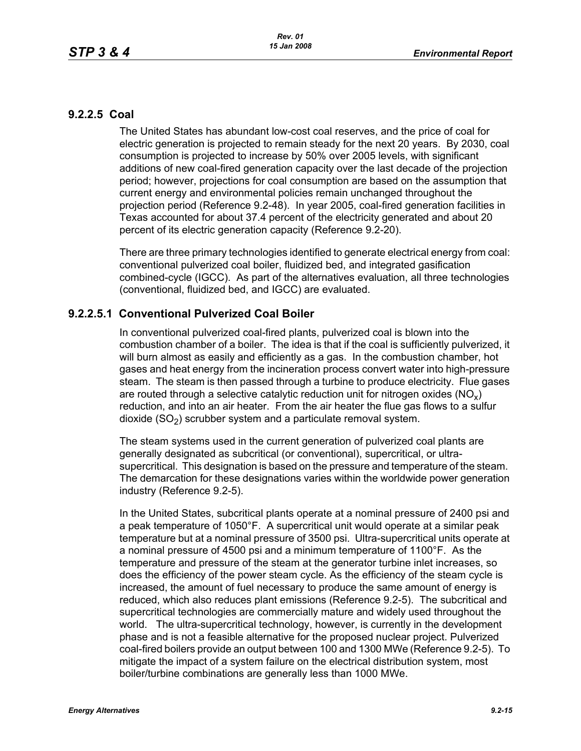### **9.2.2.5 Coal**

The United States has abundant low-cost coal reserves, and the price of coal for electric generation is projected to remain steady for the next 20 years. By 2030, coal consumption is projected to increase by 50% over 2005 levels, with significant additions of new coal-fired generation capacity over the last decade of the projection period; however, projections for coal consumption are based on the assumption that current energy and environmental policies remain unchanged throughout the projection period (Reference 9.2-48). In year 2005, coal-fired generation facilities in Texas accounted for about 37.4 percent of the electricity generated and about 20 percent of its electric generation capacity (Reference 9.2-20).

There are three primary technologies identified to generate electrical energy from coal: conventional pulverized coal boiler, fluidized bed, and integrated gasification combined-cycle (IGCC). As part of the alternatives evaluation, all three technologies (conventional, fluidized bed, and IGCC) are evaluated.

# **9.2.2.5.1 Conventional Pulverized Coal Boiler**

In conventional pulverized coal-fired plants, pulverized coal is blown into the combustion chamber of a boiler. The idea is that if the coal is sufficiently pulverized, it will burn almost as easily and efficiently as a gas. In the combustion chamber, hot gases and heat energy from the incineration process convert water into high-pressure steam. The steam is then passed through a turbine to produce electricity. Flue gases are routed through a selective catalytic reduction unit for nitrogen oxides ( $NO<sub>v</sub>$ ) reduction, and into an air heater. From the air heater the flue gas flows to a sulfur dioxide  $(SO<sub>2</sub>)$  scrubber system and a particulate removal system.

The steam systems used in the current generation of pulverized coal plants are generally designated as subcritical (or conventional), supercritical, or ultrasupercritical. This designation is based on the pressure and temperature of the steam. The demarcation for these designations varies within the worldwide power generation industry (Reference 9.2-5).

In the United States, subcritical plants operate at a nominal pressure of 2400 psi and a peak temperature of 1050°F. A supercritical unit would operate at a similar peak temperature but at a nominal pressure of 3500 psi. Ultra-supercritical units operate at a nominal pressure of 4500 psi and a minimum temperature of 1100°F. As the temperature and pressure of the steam at the generator turbine inlet increases, so does the efficiency of the power steam cycle. As the efficiency of the steam cycle is increased, the amount of fuel necessary to produce the same amount of energy is reduced, which also reduces plant emissions (Reference 9.2-5). The subcritical and supercritical technologies are commercially mature and widely used throughout the world. The ultra-supercritical technology, however, is currently in the development phase and is not a feasible alternative for the proposed nuclear project. Pulverized coal-fired boilers provide an output between 100 and 1300 MWe (Reference 9.2-5). To mitigate the impact of a system failure on the electrical distribution system, most boiler/turbine combinations are generally less than 1000 MWe.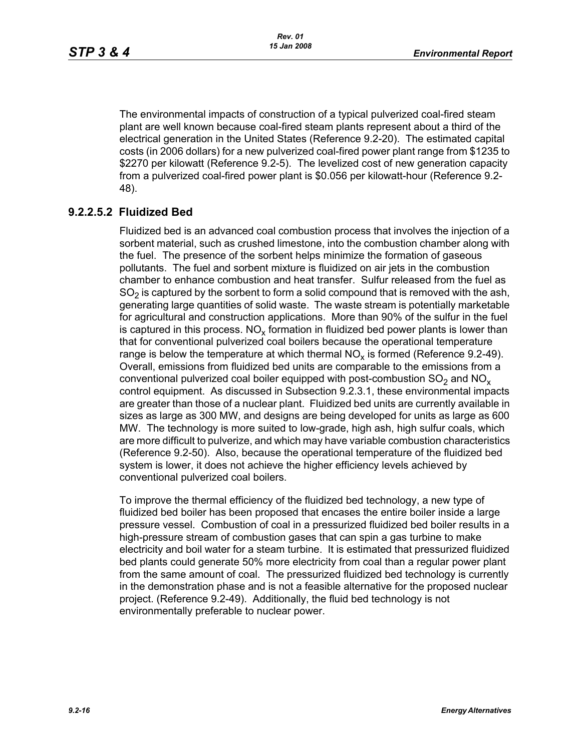The environmental impacts of construction of a typical pulverized coal-fired steam plant are well known because coal-fired steam plants represent about a third of the electrical generation in the United States (Reference 9.2-20). The estimated capital costs (in 2006 dollars) for a new pulverized coal-fired power plant range from \$1235 to \$2270 per kilowatt (Reference 9.2-5). The levelized cost of new generation capacity from a pulverized coal-fired power plant is \$0.056 per kilowatt-hour (Reference 9.2- 48).

# **9.2.2.5.2 Fluidized Bed**

Fluidized bed is an advanced coal combustion process that involves the injection of a sorbent material, such as crushed limestone, into the combustion chamber along with the fuel. The presence of the sorbent helps minimize the formation of gaseous pollutants. The fuel and sorbent mixture is fluidized on air jets in the combustion chamber to enhance combustion and heat transfer. Sulfur released from the fuel as  $SO<sub>2</sub>$  is captured by the sorbent to form a solid compound that is removed with the ash, generating large quantities of solid waste. The waste stream is potentially marketable for agricultural and construction applications. More than 90% of the sulfur in the fuel is captured in this process.  $NO_{v}$  formation in fluidized bed power plants is lower than that for conventional pulverized coal boilers because the operational temperature range is below the temperature at which thermal  $NO<sub>x</sub>$  is formed (Reference 9.2-49). Overall, emissions from fluidized bed units are comparable to the emissions from a conventional pulverized coal boiler equipped with post-combustion  $SO<sub>2</sub>$  and  $NO<sub>x</sub>$ control equipment. As discussed in Subsection 9.2.3.1, these environmental impacts are greater than those of a nuclear plant. Fluidized bed units are currently available in sizes as large as 300 MW, and designs are being developed for units as large as 600 MW. The technology is more suited to low-grade, high ash, high sulfur coals, which are more difficult to pulverize, and which may have variable combustion characteristics (Reference 9.2-50). Also, because the operational temperature of the fluidized bed system is lower, it does not achieve the higher efficiency levels achieved by conventional pulverized coal boilers.

To improve the thermal efficiency of the fluidized bed technology, a new type of fluidized bed boiler has been proposed that encases the entire boiler inside a large pressure vessel. Combustion of coal in a pressurized fluidized bed boiler results in a high-pressure stream of combustion gases that can spin a gas turbine to make electricity and boil water for a steam turbine. It is estimated that pressurized fluidized bed plants could generate 50% more electricity from coal than a regular power plant from the same amount of coal. The pressurized fluidized bed technology is currently in the demonstration phase and is not a feasible alternative for the proposed nuclear project. (Reference 9.2-49). Additionally, the fluid bed technology is not environmentally preferable to nuclear power.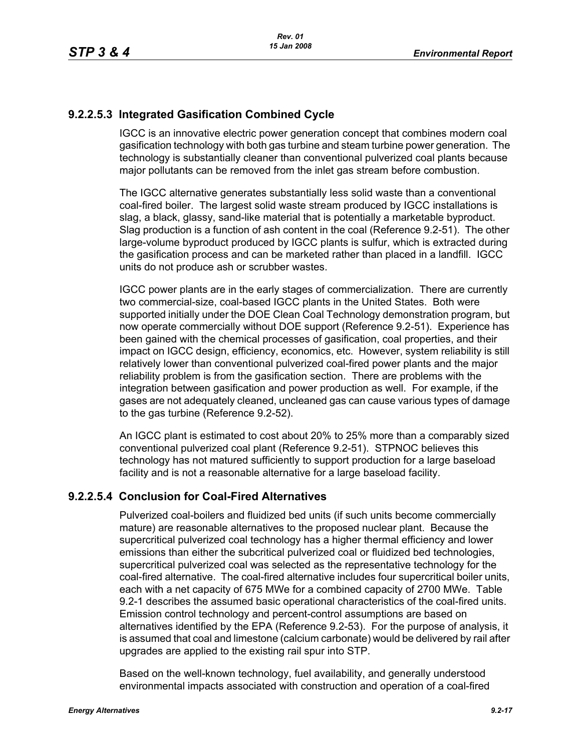# **9.2.2.5.3 Integrated Gasification Combined Cycle**

IGCC is an innovative electric power generation concept that combines modern coal gasification technology with both gas turbine and steam turbine power generation. The technology is substantially cleaner than conventional pulverized coal plants because major pollutants can be removed from the inlet gas stream before combustion.

The IGCC alternative generates substantially less solid waste than a conventional coal-fired boiler. The largest solid waste stream produced by IGCC installations is slag, a black, glassy, sand-like material that is potentially a marketable byproduct. Slag production is a function of ash content in the coal (Reference 9.2-51). The other large-volume byproduct produced by IGCC plants is sulfur, which is extracted during the gasification process and can be marketed rather than placed in a landfill. IGCC units do not produce ash or scrubber wastes.

IGCC power plants are in the early stages of commercialization. There are currently two commercial-size, coal-based IGCC plants in the United States. Both were supported initially under the DOE Clean Coal Technology demonstration program, but now operate commercially without DOE support (Reference 9.2-51). Experience has been gained with the chemical processes of gasification, coal properties, and their impact on IGCC design, efficiency, economics, etc. However, system reliability is still relatively lower than conventional pulverized coal-fired power plants and the major reliability problem is from the gasification section. There are problems with the integration between gasification and power production as well. For example, if the gases are not adequately cleaned, uncleaned gas can cause various types of damage to the gas turbine (Reference 9.2-52).

An IGCC plant is estimated to cost about 20% to 25% more than a comparably sized conventional pulverized coal plant (Reference 9.2-51). STPNOC believes this technology has not matured sufficiently to support production for a large baseload facility and is not a reasonable alternative for a large baseload facility.

# **9.2.2.5.4 Conclusion for Coal-Fired Alternatives**

Pulverized coal-boilers and fluidized bed units (if such units become commercially mature) are reasonable alternatives to the proposed nuclear plant. Because the supercritical pulverized coal technology has a higher thermal efficiency and lower emissions than either the subcritical pulverized coal or fluidized bed technologies, supercritical pulverized coal was selected as the representative technology for the coal-fired alternative. The coal-fired alternative includes four supercritical boiler units, each with a net capacity of 675 MWe for a combined capacity of 2700 MWe. Table 9.2-1 describes the assumed basic operational characteristics of the coal-fired units. Emission control technology and percent-control assumptions are based on alternatives identified by the EPA (Reference 9.2-53). For the purpose of analysis, it is assumed that coal and limestone (calcium carbonate) would be delivered by rail after upgrades are applied to the existing rail spur into STP.

Based on the well-known technology, fuel availability, and generally understood environmental impacts associated with construction and operation of a coal-fired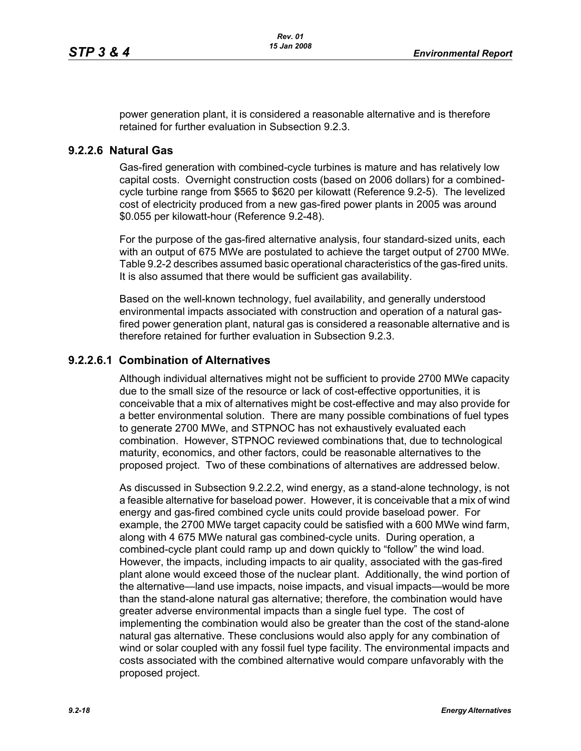power generation plant, it is considered a reasonable alternative and is therefore retained for further evaluation in Subsection 9.2.3.

#### **9.2.2.6 Natural Gas**

Gas-fired generation with combined-cycle turbines is mature and has relatively low capital costs. Overnight construction costs (based on 2006 dollars) for a combinedcycle turbine range from \$565 to \$620 per kilowatt (Reference 9.2-5). The levelized cost of electricity produced from a new gas-fired power plants in 2005 was around \$0.055 per kilowatt-hour (Reference 9.2-48).

For the purpose of the gas-fired alternative analysis, four standard-sized units, each with an output of 675 MWe are postulated to achieve the target output of 2700 MWe. Table 9.2-2 describes assumed basic operational characteristics of the gas-fired units. It is also assumed that there would be sufficient gas availability.

Based on the well-known technology, fuel availability, and generally understood environmental impacts associated with construction and operation of a natural gasfired power generation plant, natural gas is considered a reasonable alternative and is therefore retained for further evaluation in Subsection 9.2.3.

### **9.2.2.6.1 Combination of Alternatives**

Although individual alternatives might not be sufficient to provide 2700 MWe capacity due to the small size of the resource or lack of cost-effective opportunities, it is conceivable that a mix of alternatives might be cost-effective and may also provide for a better environmental solution. There are many possible combinations of fuel types to generate 2700 MWe, and STPNOC has not exhaustively evaluated each combination. However, STPNOC reviewed combinations that, due to technological maturity, economics, and other factors, could be reasonable alternatives to the proposed project. Two of these combinations of alternatives are addressed below.

As discussed in Subsection 9.2.2.2, wind energy, as a stand-alone technology, is not a feasible alternative for baseload power. However, it is conceivable that a mix of wind energy and gas-fired combined cycle units could provide baseload power. For example, the 2700 MWe target capacity could be satisfied with a 600 MWe wind farm, along with 4 675 MWe natural gas combined-cycle units. During operation, a combined-cycle plant could ramp up and down quickly to "follow" the wind load. However, the impacts, including impacts to air quality, associated with the gas-fired plant alone would exceed those of the nuclear plant. Additionally, the wind portion of the alternative—land use impacts, noise impacts, and visual impacts—would be more than the stand-alone natural gas alternative; therefore, the combination would have greater adverse environmental impacts than a single fuel type. The cost of implementing the combination would also be greater than the cost of the stand-alone natural gas alternative. These conclusions would also apply for any combination of wind or solar coupled with any fossil fuel type facility. The environmental impacts and costs associated with the combined alternative would compare unfavorably with the proposed project.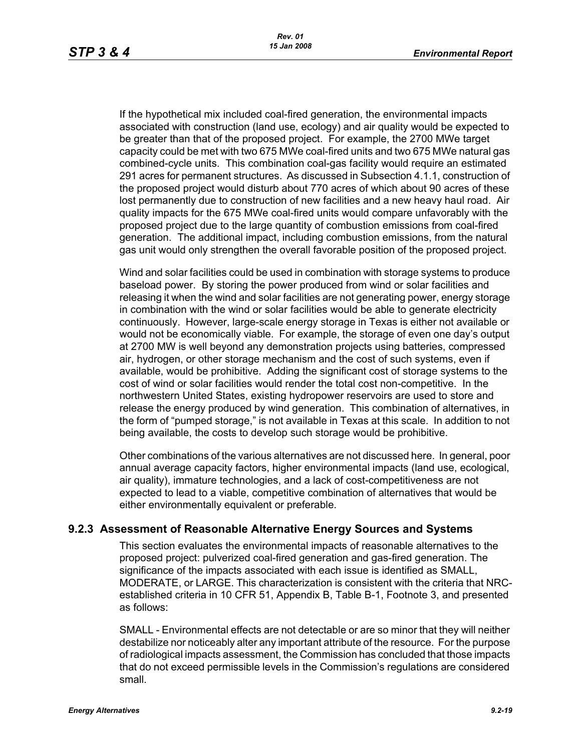If the hypothetical mix included coal-fired generation, the environmental impacts associated with construction (land use, ecology) and air quality would be expected to be greater than that of the proposed project. For example, the 2700 MWe target capacity could be met with two 675 MWe coal-fired units and two 675 MWe natural gas combined-cycle units. This combination coal-gas facility would require an estimated 291 acres for permanent structures. As discussed in Subsection 4.1.1, construction of the proposed project would disturb about 770 acres of which about 90 acres of these lost permanently due to construction of new facilities and a new heavy haul road. Air quality impacts for the 675 MWe coal-fired units would compare unfavorably with the proposed project due to the large quantity of combustion emissions from coal-fired generation. The additional impact, including combustion emissions, from the natural gas unit would only strengthen the overall favorable position of the proposed project.

Wind and solar facilities could be used in combination with storage systems to produce baseload power. By storing the power produced from wind or solar facilities and releasing it when the wind and solar facilities are not generating power, energy storage in combination with the wind or solar facilities would be able to generate electricity continuously. However, large-scale energy storage in Texas is either not available or would not be economically viable. For example, the storage of even one day's output at 2700 MW is well beyond any demonstration projects using batteries, compressed air, hydrogen, or other storage mechanism and the cost of such systems, even if available, would be prohibitive. Adding the significant cost of storage systems to the cost of wind or solar facilities would render the total cost non-competitive. In the northwestern United States, existing hydropower reservoirs are used to store and release the energy produced by wind generation. This combination of alternatives, in the form of "pumped storage," is not available in Texas at this scale. In addition to not being available, the costs to develop such storage would be prohibitive.

Other combinations of the various alternatives are not discussed here. In general, poor annual average capacity factors, higher environmental impacts (land use, ecological, air quality), immature technologies, and a lack of cost-competitiveness are not expected to lead to a viable, competitive combination of alternatives that would be either environmentally equivalent or preferable.

#### **9.2.3 Assessment of Reasonable Alternative Energy Sources and Systems**

This section evaluates the environmental impacts of reasonable alternatives to the proposed project: pulverized coal-fired generation and gas-fired generation. The significance of the impacts associated with each issue is identified as SMALL, MODERATE, or LARGE. This characterization is consistent with the criteria that NRCestablished criteria in 10 CFR 51, Appendix B, Table B-1, Footnote 3, and presented as follows:

SMALL - Environmental effects are not detectable or are so minor that they will neither destabilize nor noticeably alter any important attribute of the resource. For the purpose of radiological impacts assessment, the Commission has concluded that those impacts that do not exceed permissible levels in the Commission's regulations are considered small.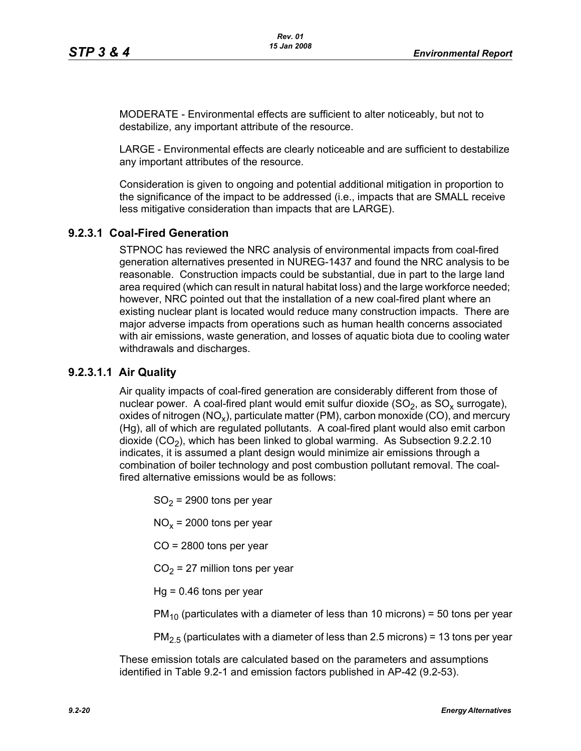MODERATE - Environmental effects are sufficient to alter noticeably, but not to destabilize, any important attribute of the resource.

LARGE - Environmental effects are clearly noticeable and are sufficient to destabilize any important attributes of the resource.

Consideration is given to ongoing and potential additional mitigation in proportion to the significance of the impact to be addressed (i.e., impacts that are SMALL receive less mitigative consideration than impacts that are LARGE).

### **9.2.3.1 Coal-Fired Generation**

STPNOC has reviewed the NRC analysis of environmental impacts from coal-fired generation alternatives presented in NUREG-1437 and found the NRC analysis to be reasonable. Construction impacts could be substantial, due in part to the large land area required (which can result in natural habitat loss) and the large workforce needed; however, NRC pointed out that the installation of a new coal-fired plant where an existing nuclear plant is located would reduce many construction impacts. There are major adverse impacts from operations such as human health concerns associated with air emissions, waste generation, and losses of aquatic biota due to cooling water withdrawals and discharges.

#### **9.2.3.1.1 Air Quality**

Air quality impacts of coal-fired generation are considerably different from those of nuclear power. A coal-fired plant would emit sulfur dioxide  $(SO<sub>2</sub>)$ , as  $SO<sub>x</sub>$  surrogate), oxides of nitrogen (NO<sub>x</sub>), particulate matter (PM), carbon monoxide (CO), and mercury (Hg), all of which are regulated pollutants. A coal-fired plant would also emit carbon dioxide  $(CO<sub>2</sub>)$ , which has been linked to global warming. As Subsection 9.2.2.10 indicates, it is assumed a plant design would minimize air emissions through a combination of boiler technology and post combustion pollutant removal. The coalfired alternative emissions would be as follows:

 $SO<sub>2</sub>$  = 2900 tons per year

 $NO<sub>x</sub>$  = 2000 tons per year

CO = 2800 tons per year

 $CO<sub>2</sub> = 27$  million tons per year

 $Hq = 0.46$  tons per year

 $PM<sub>10</sub>$  (particulates with a diameter of less than 10 microns) = 50 tons per year

 $PM<sub>2.5</sub>$  (particulates with a diameter of less than 2.5 microns) = 13 tons per year

These emission totals are calculated based on the parameters and assumptions identified in Table 9.2-1 and emission factors published in AP-42 (9.2-53).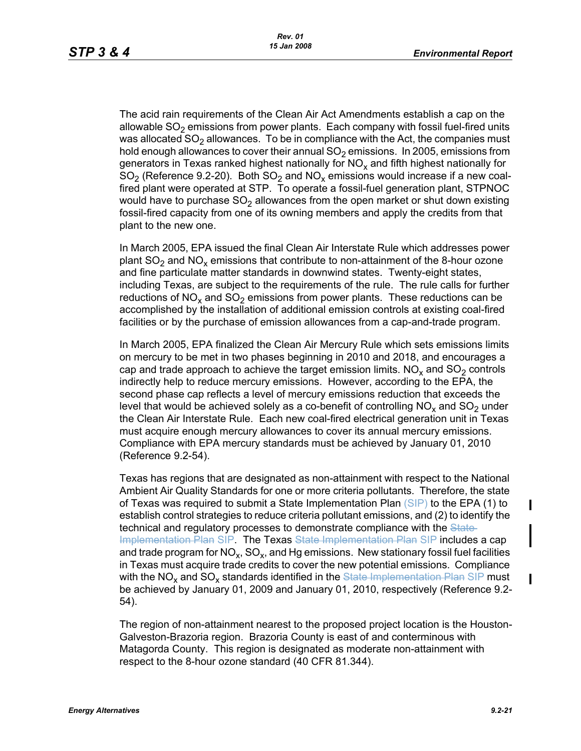The acid rain requirements of the Clean Air Act Amendments establish a cap on the allowable  $SO<sub>2</sub>$  emissions from power plants. Each company with fossil fuel-fired units was allocated  $SO<sub>2</sub>$  allowances. To be in compliance with the Act, the companies must hold enough allowances to cover their annual  $SO<sub>2</sub>$  emissions. In 2005, emissions from generators in Texas ranked highest nationally for  $NO<sub>x</sub>$  and fifth highest nationally for  $SO<sub>2</sub>$  (Reference 9.2-20). Both  $SO<sub>2</sub>$  and  $NO<sub>x</sub>$  emissions would increase if a new coalfired plant were operated at STP. To operate a fossil-fuel generation plant, STPNOC would have to purchase  $SO<sub>2</sub>$  allowances from the open market or shut down existing fossil-fired capacity from one of its owning members and apply the credits from that plant to the new one.

In March 2005, EPA issued the final Clean Air Interstate Rule which addresses power plant  $SO_2$  and  $NO_x$  emissions that contribute to non-attainment of the 8-hour ozone and fine particulate matter standards in downwind states. Twenty-eight states, including Texas, are subject to the requirements of the rule. The rule calls for further reductions of  $NO<sub>x</sub>$  and  $SO<sub>2</sub>$  emissions from power plants. These reductions can be accomplished by the installation of additional emission controls at existing coal-fired facilities or by the purchase of emission allowances from a cap-and-trade program.

In March 2005, EPA finalized the Clean Air Mercury Rule which sets emissions limits on mercury to be met in two phases beginning in 2010 and 2018, and encourages a cap and trade approach to achieve the target emission limits.  $NO<sub>x</sub>$  and  $SO<sub>2</sub>$  controls indirectly help to reduce mercury emissions. However, according to the EPA, the second phase cap reflects a level of mercury emissions reduction that exceeds the level that would be achieved solely as a co-benefit of controlling  $NO<sub>x</sub>$  and  $SO<sub>2</sub>$  under the Clean Air Interstate Rule. Each new coal-fired electrical generation unit in Texas must acquire enough mercury allowances to cover its annual mercury emissions. Compliance with EPA mercury standards must be achieved by January 01, 2010 (Reference 9.2-54).

Texas has regions that are designated as non-attainment with respect to the National Ambient Air Quality Standards for one or more criteria pollutants. Therefore, the state of Texas was required to submit a State Implementation Plan (SIP) to the EPA (1) to establish control strategies to reduce criteria pollutant emissions, and (2) to identify the technical and regulatory processes to demonstrate compliance with the State-Implementation Plan SIP. The Texas State Implementation Plan SIP includes a cap and trade program for  $NO_x$ ,  $SO_x$ , and Hg emissions. New stationary fossil fuel facilities in Texas must acquire trade credits to cover the new potential emissions. Compliance with the  $NO<sub>x</sub>$  and  $SO<sub>x</sub>$  standards identified in the State Implementation Plan SIP must be achieved by January 01, 2009 and January 01, 2010, respectively (Reference 9.2- 54).

The region of non-attainment nearest to the proposed project location is the Houston-Galveston-Brazoria region. Brazoria County is east of and conterminous with Matagorda County. This region is designated as moderate non-attainment with respect to the 8-hour ozone standard (40 CFR 81.344).

 $\blacksquare$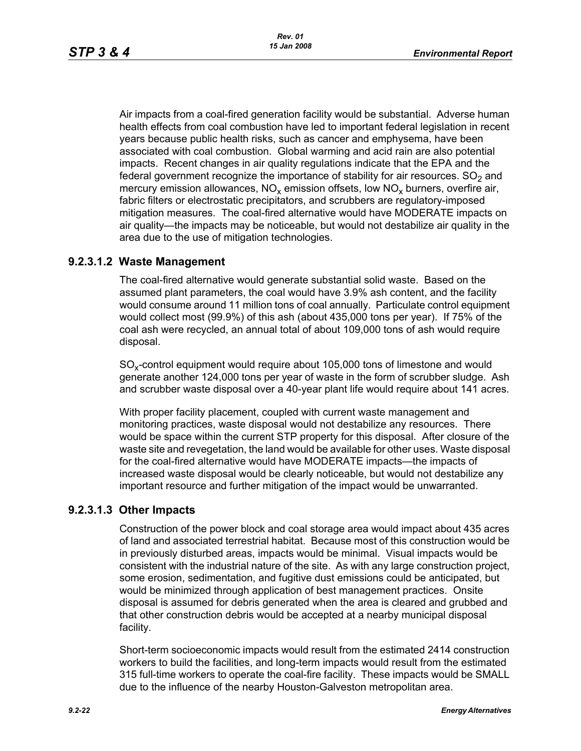Air impacts from a coal-fired generation facility would be substantial. Adverse human health effects from coal combustion have led to important federal legislation in recent years because public health risks, such as cancer and emphysema, have been associated with coal combustion. Global warming and acid rain are also potential impacts. Recent changes in air quality regulations indicate that the EPA and the federal government recognize the importance of stability for air resources.  $SO<sub>2</sub>$  and mercury emission allowances,  $NO<sub>x</sub>$  emission offsets, low  $NO<sub>x</sub>$  burners, overfire air, fabric filters or electrostatic precipitators, and scrubbers are regulatory-imposed mitigation measures. The coal-fired alternative would have MODERATE impacts on air quality—the impacts may be noticeable, but would not destabilize air quality in the area due to the use of mitigation technologies.

### **9.2.3.1.2 Waste Management**

The coal-fired alternative would generate substantial solid waste. Based on the assumed plant parameters, the coal would have 3.9% ash content, and the facility would consume around 11 million tons of coal annually. Particulate control equipment would collect most (99.9%) of this ash (about 435,000 tons per year). If 75% of the coal ash were recycled, an annual total of about 109,000 tons of ash would require disposal.

 $SO<sub>x</sub>$ -control equipment would require about 105,000 tons of limestone and would generate another 124,000 tons per year of waste in the form of scrubber sludge. Ash and scrubber waste disposal over a 40-year plant life would require about 141 acres.

With proper facility placement, coupled with current waste management and monitoring practices, waste disposal would not destabilize any resources. There would be space within the current STP property for this disposal. After closure of the waste site and revegetation, the land would be available for other uses. Waste disposal for the coal-fired alternative would have MODERATE impacts—the impacts of increased waste disposal would be clearly noticeable, but would not destabilize any important resource and further mitigation of the impact would be unwarranted.

# **9.2.3.1.3 Other Impacts**

Construction of the power block and coal storage area would impact about 435 acres of land and associated terrestrial habitat. Because most of this construction would be in previously disturbed areas, impacts would be minimal. Visual impacts would be consistent with the industrial nature of the site. As with any large construction project, some erosion, sedimentation, and fugitive dust emissions could be anticipated, but would be minimized through application of best management practices. Onsite disposal is assumed for debris generated when the area is cleared and grubbed and that other construction debris would be accepted at a nearby municipal disposal facility.

Short-term socioeconomic impacts would result from the estimated 2414 construction workers to build the facilities, and long-term impacts would result from the estimated 315 full-time workers to operate the coal-fire facility. These impacts would be SMALL due to the influence of the nearby Houston-Galveston metropolitan area.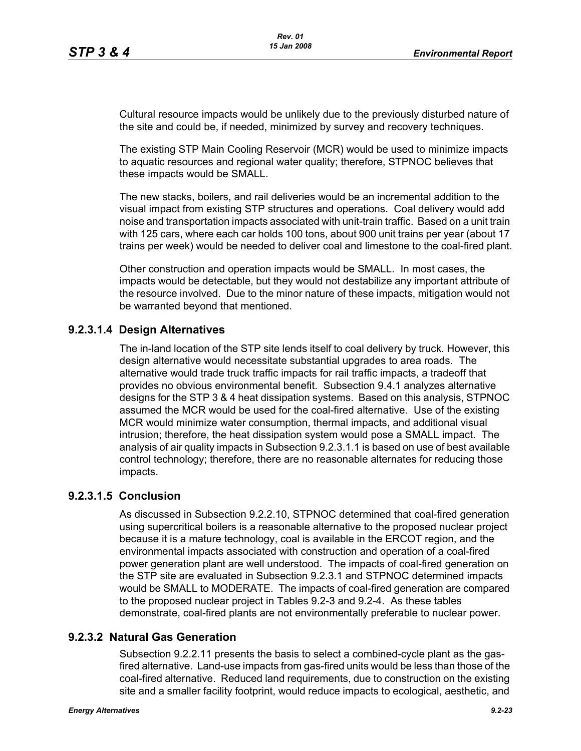Cultural resource impacts would be unlikely due to the previously disturbed nature of the site and could be, if needed, minimized by survey and recovery techniques.

The existing STP Main Cooling Reservoir (MCR) would be used to minimize impacts to aquatic resources and regional water quality; therefore, STPNOC believes that these impacts would be SMALL.

The new stacks, boilers, and rail deliveries would be an incremental addition to the visual impact from existing STP structures and operations. Coal delivery would add noise and transportation impacts associated with unit-train traffic. Based on a unit train with 125 cars, where each car holds 100 tons, about 900 unit trains per year (about 17 trains per week) would be needed to deliver coal and limestone to the coal-fired plant.

Other construction and operation impacts would be SMALL. In most cases, the impacts would be detectable, but they would not destabilize any important attribute of the resource involved. Due to the minor nature of these impacts, mitigation would not be warranted beyond that mentioned.

# **9.2.3.1.4 Design Alternatives**

The in-land location of the STP site lends itself to coal delivery by truck. However, this design alternative would necessitate substantial upgrades to area roads. The alternative would trade truck traffic impacts for rail traffic impacts, a tradeoff that provides no obvious environmental benefit. Subsection 9.4.1 analyzes alternative designs for the STP 3 & 4 heat dissipation systems. Based on this analysis, STPNOC assumed the MCR would be used for the coal-fired alternative. Use of the existing MCR would minimize water consumption, thermal impacts, and additional visual intrusion; therefore, the heat dissipation system would pose a SMALL impact. The analysis of air quality impacts in Subsection 9.2.3.1.1 is based on use of best available control technology; therefore, there are no reasonable alternates for reducing those impacts.

#### **9.2.3.1.5 Conclusion**

As discussed in Subsection 9.2.2.10, STPNOC determined that coal-fired generation using supercritical boilers is a reasonable alternative to the proposed nuclear project because it is a mature technology, coal is available in the ERCOT region, and the environmental impacts associated with construction and operation of a coal-fired power generation plant are well understood. The impacts of coal-fired generation on the STP site are evaluated in Subsection 9.2.3.1 and STPNOC determined impacts would be SMALL to MODERATE. The impacts of coal-fired generation are compared to the proposed nuclear project in Tables 9.2-3 and 9.2-4. As these tables demonstrate, coal-fired plants are not environmentally preferable to nuclear power.

# **9.2.3.2 Natural Gas Generation**

Subsection 9.2.2.11 presents the basis to select a combined-cycle plant as the gasfired alternative. Land-use impacts from gas-fired units would be less than those of the coal-fired alternative. Reduced land requirements, due to construction on the existing site and a smaller facility footprint, would reduce impacts to ecological, aesthetic, and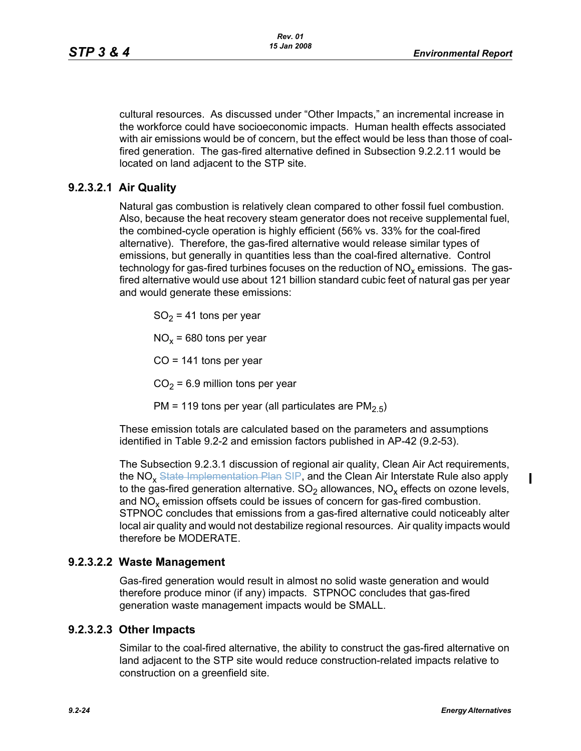cultural resources. As discussed under "Other Impacts," an incremental increase in the workforce could have socioeconomic impacts. Human health effects associated with air emissions would be of concern, but the effect would be less than those of coalfired generation. The gas-fired alternative defined in Subsection 9.2.2.11 would be located on land adjacent to the STP site.

# **9.2.3.2.1 Air Quality**

Natural gas combustion is relatively clean compared to other fossil fuel combustion. Also, because the heat recovery steam generator does not receive supplemental fuel, the combined-cycle operation is highly efficient (56% vs. 33% for the coal-fired alternative). Therefore, the gas-fired alternative would release similar types of emissions, but generally in quantities less than the coal-fired alternative. Control technology for gas-fired turbines focuses on the reduction of  $NO<sub>x</sub>$  emissions. The gasfired alternative would use about 121 billion standard cubic feet of natural gas per year and would generate these emissions:

 $SO<sub>2</sub>$  = 41 tons per year

 $NO<sub>x</sub> = 680$  tons per year

 $CO = 141$  tons per year

 $CO<sub>2</sub> = 6.9$  million tons per year

PM = 119 tons per year (all particulates are  $PM<sub>2.5</sub>$ )

These emission totals are calculated based on the parameters and assumptions identified in Table 9.2-2 and emission factors published in AP-42 (9.2-53).

The Subsection 9.2.3.1 discussion of regional air quality, Clean Air Act requirements, the NO<sub>x</sub> State Implementation Plan SIP, and the Clean Air Interstate Rule also apply to the gas-fired generation alternative.  $SO_2$  allowances,  $NO_x$  effects on ozone levels, and  $NO<sub>x</sub>$  emission offsets could be issues of concern for gas-fired combustion. STPNOC concludes that emissions from a gas-fired alternative could noticeably alter local air quality and would not destabilize regional resources. Air quality impacts would therefore be MODERATE.

# **9.2.3.2.2 Waste Management**

Gas-fired generation would result in almost no solid waste generation and would therefore produce minor (if any) impacts. STPNOC concludes that gas-fired generation waste management impacts would be SMALL.

# **9.2.3.2.3 Other Impacts**

Similar to the coal-fired alternative, the ability to construct the gas-fired alternative on land adjacent to the STP site would reduce construction-related impacts relative to construction on a greenfield site.

П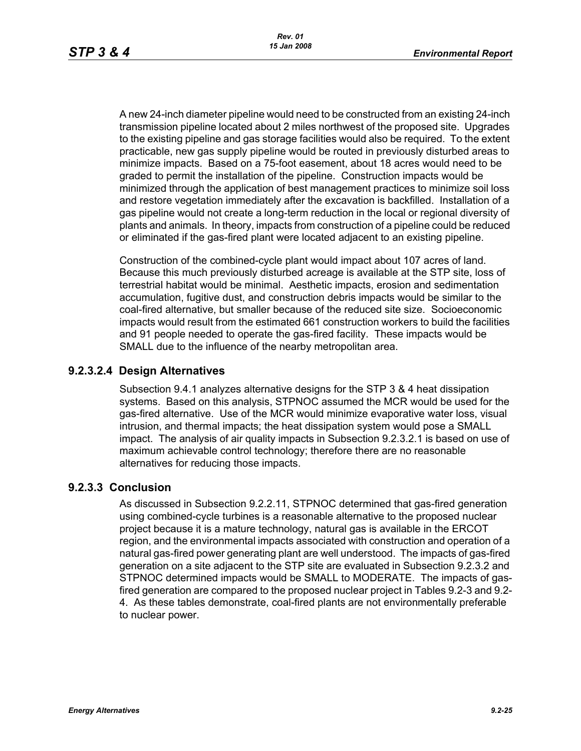A new 24-inch diameter pipeline would need to be constructed from an existing 24-inch transmission pipeline located about 2 miles northwest of the proposed site. Upgrades to the existing pipeline and gas storage facilities would also be required. To the extent practicable, new gas supply pipeline would be routed in previously disturbed areas to minimize impacts. Based on a 75-foot easement, about 18 acres would need to be graded to permit the installation of the pipeline. Construction impacts would be minimized through the application of best management practices to minimize soil loss and restore vegetation immediately after the excavation is backfilled. Installation of a gas pipeline would not create a long-term reduction in the local or regional diversity of plants and animals. In theory, impacts from construction of a pipeline could be reduced or eliminated if the gas-fired plant were located adjacent to an existing pipeline.

Construction of the combined-cycle plant would impact about 107 acres of land. Because this much previously disturbed acreage is available at the STP site, loss of terrestrial habitat would be minimal. Aesthetic impacts, erosion and sedimentation accumulation, fugitive dust, and construction debris impacts would be similar to the coal-fired alternative, but smaller because of the reduced site size. Socioeconomic impacts would result from the estimated 661 construction workers to build the facilities and 91 people needed to operate the gas-fired facility. These impacts would be SMALL due to the influence of the nearby metropolitan area.

### **9.2.3.2.4 Design Alternatives**

Subsection 9.4.1 analyzes alternative designs for the STP 3 & 4 heat dissipation systems. Based on this analysis, STPNOC assumed the MCR would be used for the gas-fired alternative. Use of the MCR would minimize evaporative water loss, visual intrusion, and thermal impacts; the heat dissipation system would pose a SMALL impact. The analysis of air quality impacts in Subsection 9.2.3.2.1 is based on use of maximum achievable control technology; therefore there are no reasonable alternatives for reducing those impacts.

#### **9.2.3.3 Conclusion**

As discussed in Subsection 9.2.2.11, STPNOC determined that gas-fired generation using combined-cycle turbines is a reasonable alternative to the proposed nuclear project because it is a mature technology, natural gas is available in the ERCOT region, and the environmental impacts associated with construction and operation of a natural gas-fired power generating plant are well understood. The impacts of gas-fired generation on a site adjacent to the STP site are evaluated in Subsection 9.2.3.2 and STPNOC determined impacts would be SMALL to MODERATE. The impacts of gasfired generation are compared to the proposed nuclear project in Tables 9.2-3 and 9.2- 4. As these tables demonstrate, coal-fired plants are not environmentally preferable to nuclear power.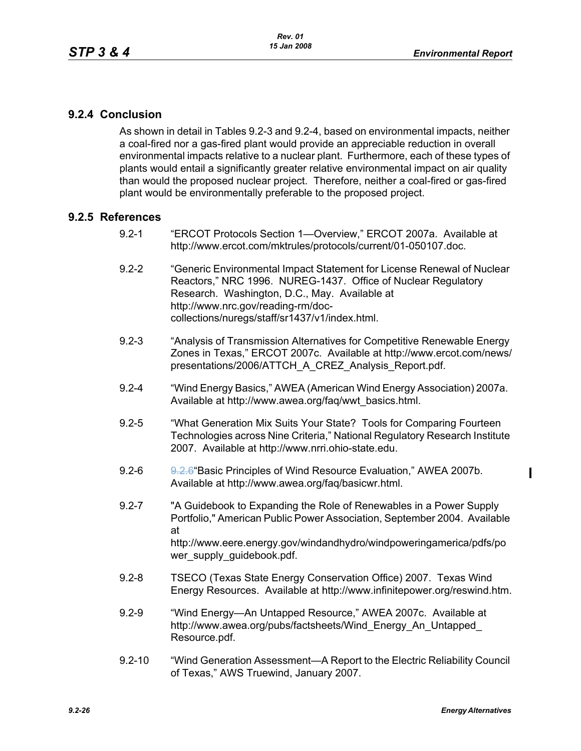### **9.2.4 Conclusion**

As shown in detail in Tables 9.2-3 and 9.2-4, based on environmental impacts, neither a coal-fired nor a gas-fired plant would provide an appreciable reduction in overall environmental impacts relative to a nuclear plant. Furthermore, each of these types of plants would entail a significantly greater relative environmental impact on air quality than would the proposed nuclear project. Therefore, neither a coal-fired or gas-fired plant would be environmentally preferable to the proposed project.

#### **9.2.5 References**

- 9.2-1 "ERCOT Protocols Section 1—Overview," ERCOT 2007a. Available at http://www.ercot.com/mktrules/protocols/current/01-050107.doc.
- 9.2-2 "Generic Environmental Impact Statement for License Renewal of Nuclear Reactors," NRC 1996. NUREG-1437. Office of Nuclear Regulatory Research. Washington, D.C., May. Available at http://www.nrc.gov/reading-rm/doccollections/nuregs/staff/sr1437/v1/index.html.
- 9.2-3 "Analysis of Transmission Alternatives for Competitive Renewable Energy Zones in Texas," ERCOT 2007c. Available at http://www.ercot.com/news/ presentations/2006/ATTCH\_A\_CREZ\_Analysis\_Report.pdf.
- 9.2-4 "Wind Energy Basics," AWEA (American Wind Energy Association) 2007a. Available at http://www.awea.org/faq/wwt\_basics.html.
- 9.2-5 "What Generation Mix Suits Your State? Tools for Comparing Fourteen Technologies across Nine Criteria," National Regulatory Research Institute 2007. Available at http://www.nrri.ohio-state.edu.
- 9.2-6 9.2.6 "Basic Principles of Wind Resource Evaluation," AWEA 2007b. Available at http://www.awea.org/faq/basicwr.html.
- 9.2-7 "A Guidebook to Expanding the Role of Renewables in a Power Supply Portfolio," American Public Power Association, September 2004. Available at http://www.eere.energy.gov/windandhydro/windpoweringamerica/pdfs/po wer\_supply\_guidebook.pdf.
- 9.2-8 TSECO (Texas State Energy Conservation Office) 2007. Texas Wind Energy Resources. Available at http://www.infinitepower.org/reswind.htm.
- 9.2-9 "Wind Energy—An Untapped Resource," AWEA 2007c. Available at http://www.awea.org/pubs/factsheets/Wind\_Energy\_An\_Untapped\_ Resource.pdf.
- 9.2-10 "Wind Generation Assessment—A Report to the Electric Reliability Council of Texas," AWS Truewind, January 2007.

 $\mathbf I$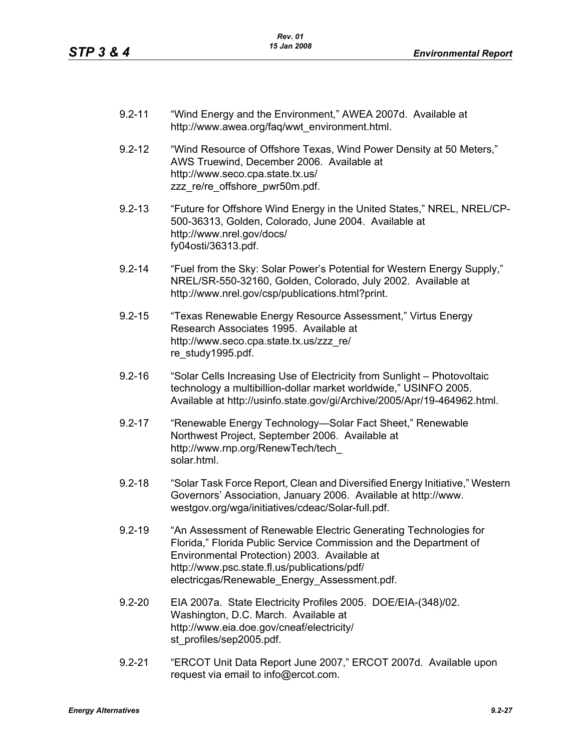- 9.2-11 "Wind Energy and the Environment," AWEA 2007d. Available at http://www.awea.org/faq/wwt\_environment.html.
- 9.2-12 "Wind Resource of Offshore Texas, Wind Power Density at 50 Meters," AWS Truewind, December 2006. Available at http://www.seco.cpa.state.tx.us/ zzz\_re/re\_offshore\_pwr50m.pdf.
- 9.2-13 "Future for Offshore Wind Energy in the United States," NREL, NREL/CP-500-36313, Golden, Colorado, June 2004. Available at http://www.nrel.gov/docs/ fy04osti/36313.pdf.
- 9.2-14 "Fuel from the Sky: Solar Power's Potential for Western Energy Supply," NREL/SR-550-32160, Golden, Colorado, July 2002. Available at http://www.nrel.gov/csp/publications.html?print.
- 9.2-15 "Texas Renewable Energy Resource Assessment," Virtus Energy Research Associates 1995. Available at http://www.seco.cpa.state.tx.us/zzz\_re/ re\_study1995.pdf.
- 9.2-16 "Solar Cells Increasing Use of Electricity from Sunlight Photovoltaic technology a multibillion-dollar market worldwide," USINFO 2005. Available at http://usinfo.state.gov/gi/Archive/2005/Apr/19-464962.html.
- 9.2-17 "Renewable Energy Technology—Solar Fact Sheet," Renewable Northwest Project, September 2006. Available at http://www.rnp.org/RenewTech/tech\_ solar.html.
- 9.2-18 "Solar Task Force Report, Clean and Diversified Energy Initiative," Western Governors' Association, January 2006. Available at http://www. westgov.org/wga/initiatives/cdeac/Solar-full.pdf.
- 9.2-19 "An Assessment of Renewable Electric Generating Technologies for Florida," Florida Public Service Commission and the Department of Environmental Protection) 2003. Available at http://www.psc.state.fl.us/publications/pdf/ electricgas/Renewable\_Energy\_Assessment.pdf.
- 9.2-20 EIA 2007a. State Electricity Profiles 2005. DOE/EIA-(348)/02. Washington, D.C. March. Available at http://www.eia.doe.gov/cneaf/electricity/ st\_profiles/sep2005.pdf.
- 9.2-21 "ERCOT Unit Data Report June 2007," ERCOT 2007d. Available upon request via email to info@ercot.com.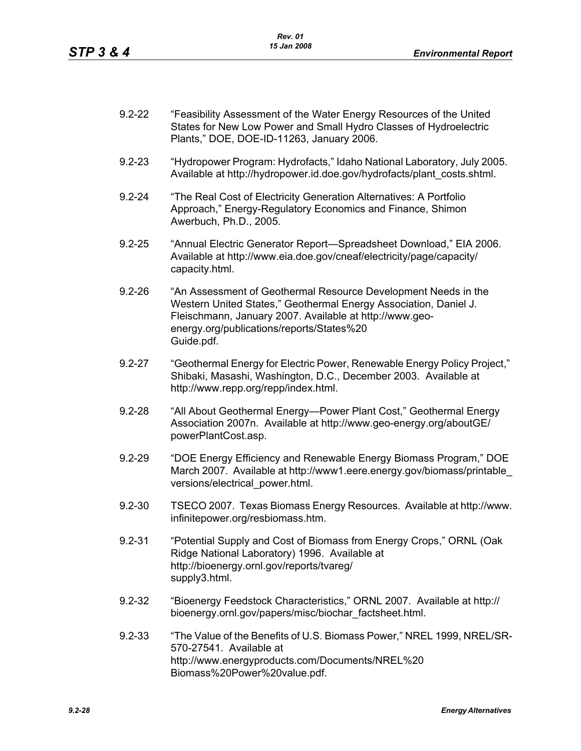| $9.2 - 22$ | "Feasibility Assessment of the Water Energy Resources of the United |
|------------|---------------------------------------------------------------------|
|            | States for New Low Power and Small Hydro Classes of Hydroelectric   |
|            | Plants," DOE, DOE-ID-11263, January 2006.                           |

- 9.2-23 "Hydropower Program: Hydrofacts," Idaho National Laboratory, July 2005. Available at http://hydropower.id.doe.gov/hydrofacts/plant\_costs.shtml.
- 9.2-24 "The Real Cost of Electricity Generation Alternatives: A Portfolio Approach," Energy-Regulatory Economics and Finance, Shimon Awerbuch, Ph.D., 2005.
- 9.2-25 "Annual Electric Generator Report—Spreadsheet Download," EIA 2006. Available at http://www.eia.doe.gov/cneaf/electricity/page/capacity/ capacity.html.
- 9.2-26 "An Assessment of Geothermal Resource Development Needs in the Western United States," Geothermal Energy Association, Daniel J. Fleischmann, January 2007. Available at http://www.geoenergy.org/publications/reports/States%20 Guide.pdf.
- 9.2-27 "Geothermal Energy for Electric Power, Renewable Energy Policy Project," Shibaki, Masashi, Washington, D.C., December 2003. Available at http://www.repp.org/repp/index.html.
- 9.2-28 "All About Geothermal Energy—Power Plant Cost," Geothermal Energy Association 2007n. Available at http://www.geo-energy.org/aboutGE/ powerPlantCost.asp.
- 9.2-29 "DOE Energy Efficiency and Renewable Energy Biomass Program," DOE March 2007. Available at http://www1.eere.energy.gov/biomass/printable\_ versions/electrical\_power.html.
- 9.2-30 TSECO 2007. Texas Biomass Energy Resources. Available at http://www. infinitepower.org/resbiomass.htm.
- 9.2-31 "Potential Supply and Cost of Biomass from Energy Crops," ORNL (Oak Ridge National Laboratory) 1996. Available at http://bioenergy.ornl.gov/reports/tvareg/ supply3.html.
- 9.2-32 "Bioenergy Feedstock Characteristics," ORNL 2007. Available at http:// bioenergy.ornl.gov/papers/misc/biochar\_factsheet.html.
- 9.2-33 "The Value of the Benefits of U.S. Biomass Power," NREL 1999, NREL/SR-570-27541. Available at http://www.energyproducts.com/Documents/NREL%20 Biomass%20Power%20value.pdf.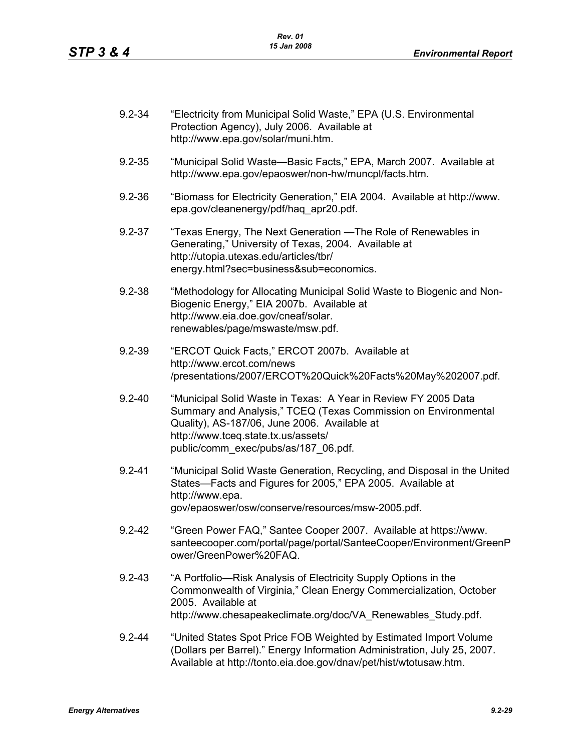| $9.2 - 34$ | "Electricity from Municipal Solid Waste," EPA (U.S. Environmental<br>Protection Agency), July 2006. Available at<br>http://www.epa.gov/solar/muni.htm.                                                                                                          |
|------------|-----------------------------------------------------------------------------------------------------------------------------------------------------------------------------------------------------------------------------------------------------------------|
| $9.2 - 35$ | "Municipal Solid Waste-Basic Facts," EPA, March 2007. Available at<br>http://www.epa.gov/epaoswer/non-hw/muncpl/facts.htm.                                                                                                                                      |
| $9.2 - 36$ | "Biomass for Electricity Generation," EIA 2004. Available at http://www.<br>epa.gov/cleanenergy/pdf/haq_apr20.pdf.                                                                                                                                              |
| $9.2 - 37$ | "Texas Energy, The Next Generation — The Role of Renewables in<br>Generating," University of Texas, 2004. Available at<br>http://utopia.utexas.edu/articles/tbr/<br>energy.html?sec=business⊂=economics.                                                        |
| $9.2 - 38$ | "Methodology for Allocating Municipal Solid Waste to Biogenic and Non-<br>Biogenic Energy," EIA 2007b. Available at<br>http://www.eia.doe.gov/cneaf/solar.<br>renewables/page/mswaste/msw.pdf.                                                                  |
| $9.2 - 39$ | "ERCOT Quick Facts," ERCOT 2007b. Available at<br>http://www.ercot.com/news<br>/presentations/2007/ERCOT%20Quick%20Facts%20May%202007.pdf.                                                                                                                      |
| $9.2 - 40$ | "Municipal Solid Waste in Texas: A Year in Review FY 2005 Data<br>Summary and Analysis," TCEQ (Texas Commission on Environmental<br>Quality), AS-187/06, June 2006. Available at<br>http://www.tceq.state.tx.us/assets/<br>public/comm_exec/pubs/as/187_06.pdf. |
| $9.2 - 41$ | "Municipal Solid Waste Generation, Recycling, and Disposal in the United<br>States-Facts and Figures for 2005," EPA 2005. Available at<br>http://www.epa.<br>gov/epaoswer/osw/conserve/resources/msw-2005.pdf.                                                  |
| $9.2 - 42$ | "Green Power FAQ," Santee Cooper 2007. Available at https://www.<br>santeecooper.com/portal/page/portal/SanteeCooper/Environment/GreenP<br>ower/GreenPower%20FAQ.                                                                                               |
| $9.2 - 43$ | "A Portfolio—Risk Analysis of Electricity Supply Options in the<br>Commonwealth of Virginia," Clean Energy Commercialization, October<br>2005. Available at<br>http://www.chesapeakeclimate.org/doc/VA_Renewables_Study.pdf.                                    |
| $9.2 - 44$ | "United States Spot Price FOB Weighted by Estimated Import Volume<br>(Dollars per Barrel)." Energy Information Administration, July 25, 2007.<br>Available at http://tonto.eia.doe.gov/dnav/pet/hist/wtotusaw.htm.                                              |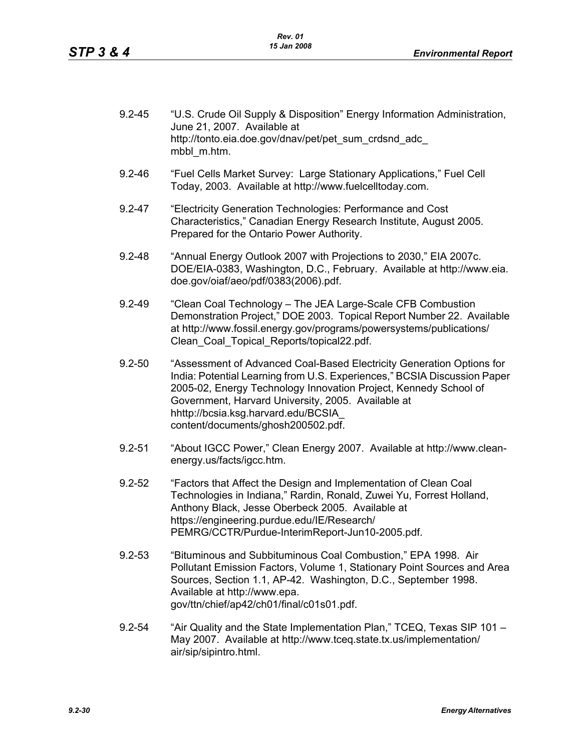| $9.2 - 45$ | "U.S. Crude Oil Supply & Disposition" Energy Information Administration,<br>June 21, 2007. Available at<br>http://tonto.eia.doe.gov/dnav/pet/pet_sum_crdsnd_adc_<br>mbbl m.htm.                                                                                                                                                                          |
|------------|----------------------------------------------------------------------------------------------------------------------------------------------------------------------------------------------------------------------------------------------------------------------------------------------------------------------------------------------------------|
| $9.2 - 46$ | "Fuel Cells Market Survey: Large Stationary Applications," Fuel Cell<br>Today, 2003. Available at http://www.fuelcelltoday.com.                                                                                                                                                                                                                          |
| $9.2 - 47$ | "Electricity Generation Technologies: Performance and Cost<br>Characteristics," Canadian Energy Research Institute, August 2005.<br>Prepared for the Ontario Power Authority.                                                                                                                                                                            |
| $9.2 - 48$ | "Annual Energy Outlook 2007 with Projections to 2030," EIA 2007c.<br>DOE/EIA-0383, Washington, D.C., February. Available at http://www.eia.<br>doe.gov/oiaf/aeo/pdf/0383(2006).pdf.                                                                                                                                                                      |
| $9.2 - 49$ | "Clean Coal Technology - The JEA Large-Scale CFB Combustion<br>Demonstration Project," DOE 2003. Topical Report Number 22. Available<br>at http://www.fossil.energy.gov/programs/powersystems/publications/<br>Clean Coal Topical Reports/topical22.pdf.                                                                                                 |
| $9.2 - 50$ | "Assessment of Advanced Coal-Based Electricity Generation Options for<br>India: Potential Learning from U.S. Experiences," BCSIA Discussion Paper<br>2005-02, Energy Technology Innovation Project, Kennedy School of<br>Government, Harvard University, 2005. Available at<br>hhttp://bcsia.ksg.harvard.edu/BCSIA<br>content/documents/ghosh200502.pdf. |
| $9.2 - 51$ | "About IGCC Power," Clean Energy 2007. Available at http://www.clean-<br>energy.us/facts/igcc.htm.                                                                                                                                                                                                                                                       |
| $9.2 - 52$ | "Factors that Affect the Design and Implementation of Clean Coal<br>Technologies in Indiana," Rardin, Ronald, Zuwei Yu, Forrest Holland,<br>Anthony Black, Jesse Oberbeck 2005. Available at<br>https://engineering.purdue.edu/IE/Research/<br>PEMRG/CCTR/Purdue-InterimReport-Jun10-2005.pdf.                                                           |
| $9.2 - 53$ | "Bituminous and Subbituminous Coal Combustion," EPA 1998. Air<br>Pollutant Emission Factors, Volume 1, Stationary Point Sources and Area<br>Sources, Section 1.1, AP-42. Washington, D.C., September 1998.<br>Available at http://www.epa.<br>gov/ttn/chief/ap42/ch01/final/c01s01.pdf.                                                                  |
| $9.2 - 54$ | "Air Quality and the State Implementation Plan," TCEQ, Texas SIP 101 -<br>May 2007. Available at http://www.tceg.state.tx.us/implementation/<br>air/sip/sipintro.html.                                                                                                                                                                                   |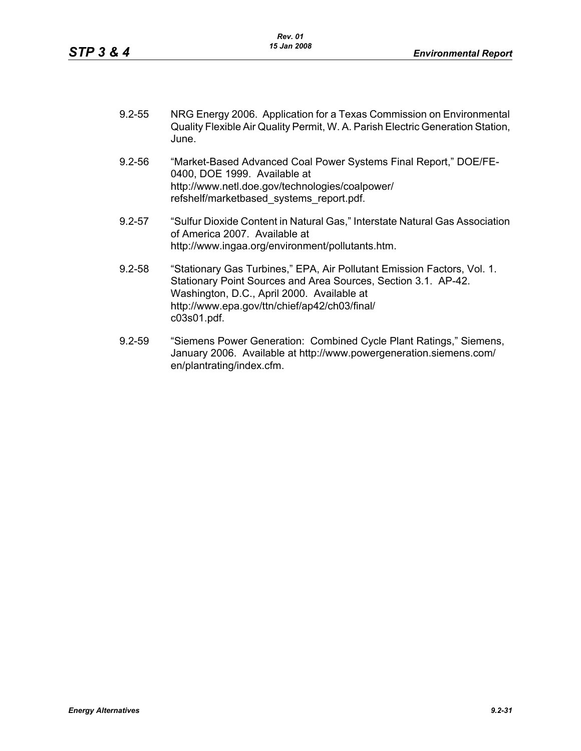- 9.2-55 NRG Energy 2006. Application for a Texas Commission on Environmental Quality Flexible Air Quality Permit, W. A. Parish Electric Generation Station, June.
- 9.2-56 "Market-Based Advanced Coal Power Systems Final Report," DOE/FE-0400, DOE 1999. Available at http://www.netl.doe.gov/technologies/coalpower/ refshelf/marketbased\_systems\_report.pdf.
- 9.2-57 "Sulfur Dioxide Content in Natural Gas," Interstate Natural Gas Association of America 2007. Available at http://www.ingaa.org/environment/pollutants.htm.
- 9.2-58 "Stationary Gas Turbines," EPA, Air Pollutant Emission Factors, Vol. 1. Stationary Point Sources and Area Sources, Section 3.1. AP-42. Washington, D.C., April 2000. Available at http://www.epa.gov/ttn/chief/ap42/ch03/final/ c03s01.pdf.
- 9.2-59 "Siemens Power Generation: Combined Cycle Plant Ratings," Siemens, January 2006. Available at http://www.powergeneration.siemens.com/ en/plantrating/index.cfm.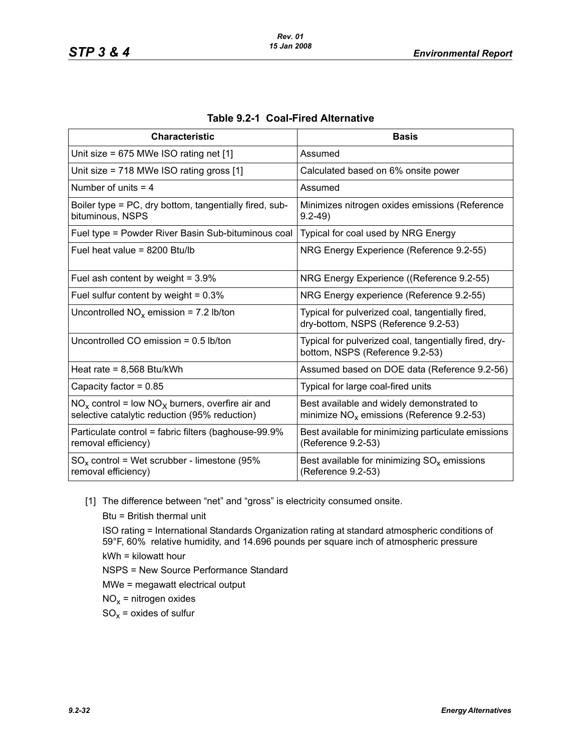| <b>Characteristic</b>                                                                                  | <b>Basis</b>                                                                              |
|--------------------------------------------------------------------------------------------------------|-------------------------------------------------------------------------------------------|
| Unit size = $675$ MWe ISO rating net [1]                                                               | Assumed                                                                                   |
| Unit size = $718$ MWe ISO rating gross $[1]$                                                           | Calculated based on 6% onsite power                                                       |
| Number of units $=$ 4                                                                                  | Assumed                                                                                   |
| Boiler type = PC, dry bottom, tangentially fired, sub-<br>bituminous, NSPS                             | Minimizes nitrogen oxides emissions (Reference<br>$9.2 - 49$                              |
| Fuel type = Powder River Basin Sub-bituminous coal                                                     | Typical for coal used by NRG Energy                                                       |
| Fuel heat value = $8200$ Btu/lb                                                                        | NRG Energy Experience (Reference 9.2-55)                                                  |
| Fuel ash content by weight = $3.9\%$                                                                   | NRG Energy Experience ((Reference 9.2-55)                                                 |
| Fuel sulfur content by weight = $0.3\%$                                                                | NRG Energy experience (Reference 9.2-55)                                                  |
| Uncontrolled $NO_x$ emission = 7.2 lb/ton                                                              | Typical for pulverized coal, tangentially fired,<br>dry-bottom, NSPS (Reference 9.2-53)   |
| Uncontrolled CO emission = 0.5 lb/ton                                                                  | Typical for pulverized coal, tangentially fired, dry-<br>bottom, NSPS (Reference 9.2-53)  |
| Heat rate = $8,568$ Btu/kWh                                                                            | Assumed based on DOE data (Reference 9.2-56)                                              |
| Capacity factor = $0.85$                                                                               | Typical for large coal-fired units                                                        |
| $NO_x$ control = low $NO_x$ burners, overfire air and<br>selective catalytic reduction (95% reduction) | Best available and widely demonstrated to<br>minimize $NO_x$ emissions (Reference 9.2-53) |
| Particulate control = fabric filters (baghouse-99.9%<br>removal efficiency)                            | Best available for minimizing particulate emissions<br>(Reference 9.2-53)                 |
| $SO_x$ control = Wet scrubber - limestone (95%<br>removal efficiency)                                  | Best available for minimizing $SO_x$ emissions<br>(Reference 9.2-53)                      |

#### **Table 9.2-1 Coal-Fired Alternative**

[1] The difference between "net" and "gross" is electricity consumed onsite.

Btu = British thermal unit ISO rating = International Standards Organization rating at standard atmospheric conditions of 59°F, 60% relative humidity, and 14.696 pounds per square inch of atmospheric pressure kWh = kilowatt hour NSPS = New Source Performance Standard MWe = megawatt electrical output  $NO<sub>x</sub>$  = nitrogen oxides  $SO_x =$  oxides of sulfur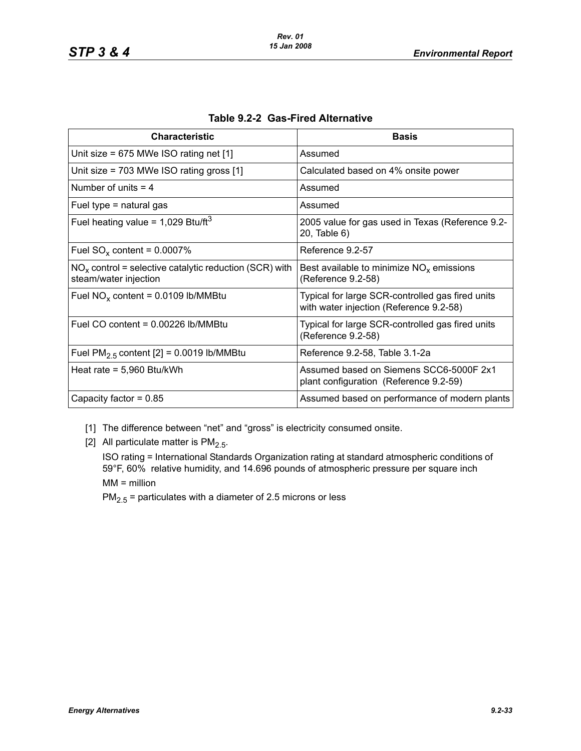| <b>Characteristic</b>                                                             | <b>Basis</b>                                                                                |
|-----------------------------------------------------------------------------------|---------------------------------------------------------------------------------------------|
| Unit size = $675$ MWe ISO rating net $[1]$                                        | Assumed                                                                                     |
| Unit size = $703$ MWe ISO rating gross [1]                                        | Calculated based on 4% onsite power                                                         |
| Number of units $=$ 4                                                             | Assumed                                                                                     |
| Fuel type $=$ natural gas                                                         | Assumed                                                                                     |
| Fuel heating value = $1,029$ Btu/ft <sup>3</sup>                                  | 2005 value for gas used in Texas (Reference 9.2-<br>20, Table 6)                            |
| Fuel $SO_x$ content = 0.0007%                                                     | Reference 9.2-57                                                                            |
| $NOx$ control = selective catalytic reduction (SCR) with<br>steam/water injection | Best available to minimize $NOx$ emissions<br>(Reference 9.2-58)                            |
| Fuel $NO_x$ content = 0.0109 lb/MMBtu                                             | Typical for large SCR-controlled gas fired units<br>with water injection (Reference 9.2-58) |
| Fuel CO content = $0.00226$ lb/MMBtu                                              | Typical for large SCR-controlled gas fired units<br>(Reference 9.2-58)                      |
| Fuel $PM2.5$ content [2] = 0.0019 lb/MMBtu                                        | Reference 9.2-58, Table 3.1-2a                                                              |
| Heat rate = $5,960$ Btu/kWh                                                       | Assumed based on Siemens SCC6-5000F 2x1<br>plant configuration (Reference 9.2-59)           |
| Capacity factor = $0.85$                                                          | Assumed based on performance of modern plants                                               |

|  | Table 9.2-2 Gas-Fired Alternative |
|--|-----------------------------------|
|--|-----------------------------------|

- [1] The difference between "net" and "gross" is electricity consumed onsite.
- [2] All particulate matter is  $PM<sub>2.5</sub>$ .

ISO rating = International Standards Organization rating at standard atmospheric conditions of 59°F, 60% relative humidity, and 14.696 pounds of atmospheric pressure per square inch MM = million

 $PM_{2.5}$  = particulates with a diameter of 2.5 microns or less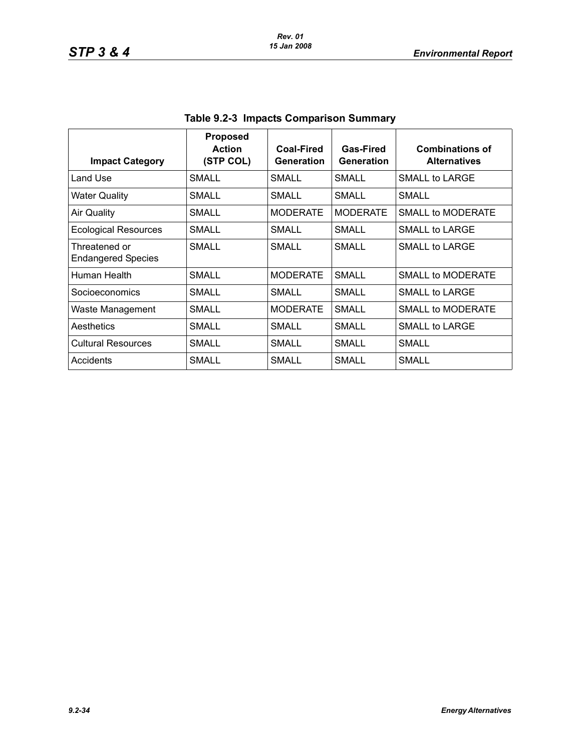| <b>Impact Category</b>                     | <b>Proposed</b><br><b>Action</b><br>(STP COL) | Coal-Fired<br>Generation | Gas-Fired<br><b>Generation</b> | <b>Combinations of</b><br><b>Alternatives</b> |
|--------------------------------------------|-----------------------------------------------|--------------------------|--------------------------------|-----------------------------------------------|
| Land Use                                   | SMALL                                         | SMALL                    | <b>SMALL</b>                   | SMALL to LARGE                                |
| <b>Water Quality</b>                       | SMALL                                         | SMALL                    | SMALL                          | SMALL                                         |
| <b>Air Quality</b>                         | SMALL                                         | <b>MODERATE</b>          | <b>MODERATE</b>                | <b>SMALL to MODERATE</b>                      |
| <b>Ecological Resources</b>                | SMALL                                         | SMALL                    | SMALL                          | SMALL to LARGE                                |
| Threatened or<br><b>Endangered Species</b> | SMALL                                         | SMALL                    | SMALL                          | SMALL to LARGE                                |
| Human Health                               | <b>SMALL</b>                                  | <b>MODERATE</b>          | SMALL                          | SMALL to MODERATE                             |
| Socioeconomics                             | SMALL                                         | SMALL                    | SMALL                          | SMALL to LARGE                                |
| Waste Management                           | SMALI                                         | <b>MODERATE</b>          | SMALL                          | SMALL to MODERATE                             |
| Aesthetics                                 | SMALL                                         | SMALL                    | SMALL                          | <b>SMALL to LARGE</b>                         |
| <b>Cultural Resources</b>                  | <b>SMALL</b>                                  | SMALL                    | SMALL                          | <b>SMALL</b>                                  |
| Accidents                                  | SMALL                                         | SMALL                    | SMALL                          | SMALL                                         |

**Table 9.2-3 Impacts Comparison Summary**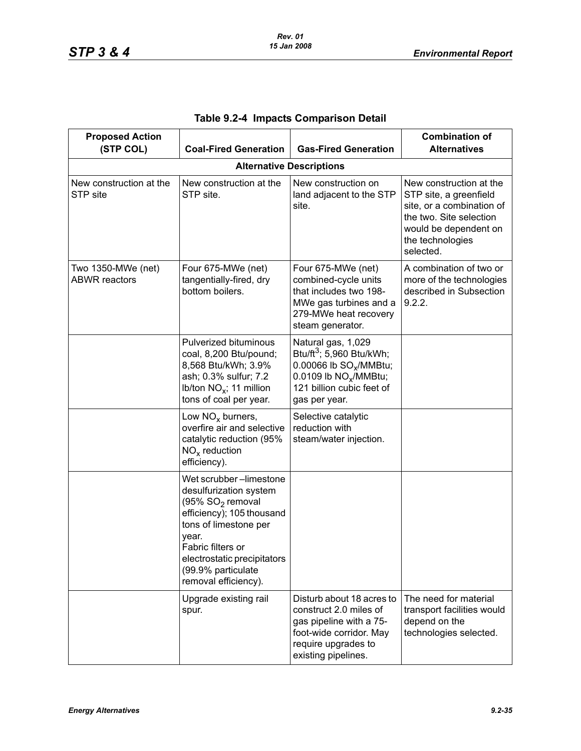| <b>Proposed Action</b><br>(STP COL)<br><b>Coal-Fired Generation</b> |                                                                                                                                                                                                                                         | <b>Gas-Fired Generation</b>                                                                                                                                                         | <b>Combination of</b><br><b>Alternatives</b>                                                                                                                        |
|---------------------------------------------------------------------|-----------------------------------------------------------------------------------------------------------------------------------------------------------------------------------------------------------------------------------------|-------------------------------------------------------------------------------------------------------------------------------------------------------------------------------------|---------------------------------------------------------------------------------------------------------------------------------------------------------------------|
|                                                                     |                                                                                                                                                                                                                                         | <b>Alternative Descriptions</b>                                                                                                                                                     |                                                                                                                                                                     |
| New construction at the<br>STP site                                 | New construction at the<br>STP site.                                                                                                                                                                                                    | New construction on<br>land adjacent to the STP<br>site.                                                                                                                            | New construction at the<br>STP site, a greenfield<br>site, or a combination of<br>the two. Site selection<br>would be dependent on<br>the technologies<br>selected. |
| Two 1350-MWe (net)<br><b>ABWR</b> reactors                          | Four 675-MWe (net)<br>tangentially-fired, dry<br>bottom boilers.                                                                                                                                                                        | Four 675-MWe (net)<br>combined-cycle units<br>that includes two 198-<br>MWe gas turbines and a<br>279-MWe heat recovery<br>steam generator.                                         | A combination of two or<br>more of the technologies<br>described in Subsection<br>9.2.2.                                                                            |
|                                                                     | <b>Pulverized bituminous</b><br>coal, 8,200 Btu/pound;<br>8,568 Btu/kWh; 3.9%<br>ash; 0.3% sulfur; 7.2<br>Ib/ton NO <sub>x</sub> ; 11 million<br>tons of coal per year.                                                                 | Natural gas, 1,029<br>Btu/ft <sup>3</sup> ; 5,960 Btu/kWh;<br>0.00066 lb SO <sub>x</sub> /MMBtu;<br>0.0109 lb NO <sub>x</sub> /MMBtu;<br>121 billion cubic feet of<br>gas per year. |                                                                                                                                                                     |
|                                                                     | Low $NOx$ burners,<br>overfire air and selective<br>catalytic reduction (95%<br>$NOx$ reduction<br>efficiency).                                                                                                                         | Selective catalytic<br>reduction with<br>steam/water injection.                                                                                                                     |                                                                                                                                                                     |
|                                                                     | Wet scrubber-limestone<br>desulfurization system<br>(95% $SO2$ removal<br>efficiency); 105 thousand<br>tons of limestone per<br>year.<br>Fabric filters or<br>electrostatic precipitators<br>(99.9% particulate<br>removal efficiency). |                                                                                                                                                                                     |                                                                                                                                                                     |
|                                                                     | Upgrade existing rail<br>spur.                                                                                                                                                                                                          | Disturb about 18 acres to<br>construct 2.0 miles of<br>gas pipeline with a 75-<br>foot-wide corridor. May<br>require upgrades to<br>existing pipelines.                             | The need for material<br>transport facilities would<br>depend on the<br>technologies selected.                                                                      |

# **Table 9.2-4 Impacts Comparison Detail**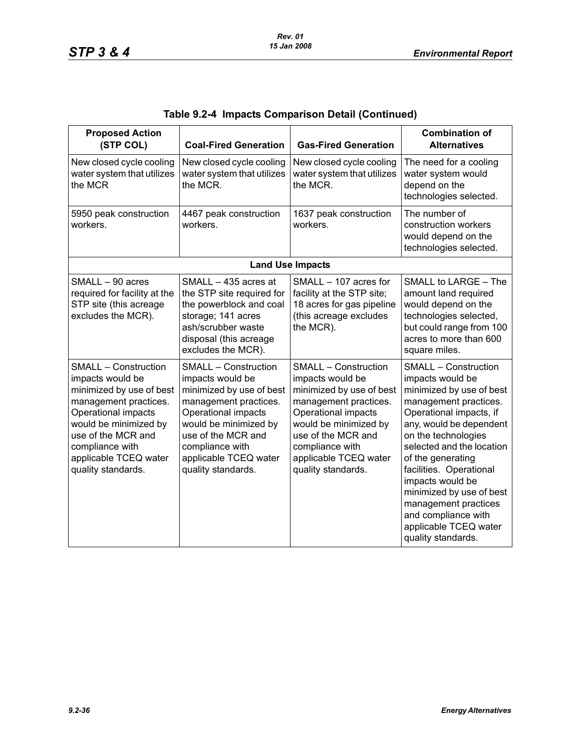| <b>Proposed Action</b><br>(STP COL)                                                                                                                                                                                                          | <b>Coal-Fired Generation</b>                                                                                                                                                                                                                 | <b>Gas-Fired Generation</b>                                                                                                                                                                                                                  | <b>Combination of</b><br><b>Alternatives</b>                                                                                                                                                                                                                                                                                                                                                                 |
|----------------------------------------------------------------------------------------------------------------------------------------------------------------------------------------------------------------------------------------------|----------------------------------------------------------------------------------------------------------------------------------------------------------------------------------------------------------------------------------------------|----------------------------------------------------------------------------------------------------------------------------------------------------------------------------------------------------------------------------------------------|--------------------------------------------------------------------------------------------------------------------------------------------------------------------------------------------------------------------------------------------------------------------------------------------------------------------------------------------------------------------------------------------------------------|
| New closed cycle cooling<br>water system that utilizes<br>the MCR                                                                                                                                                                            | New closed cycle cooling<br>water system that utilizes<br>the MCR.                                                                                                                                                                           | New closed cycle cooling<br>water system that utilizes<br>the MCR.                                                                                                                                                                           | The need for a cooling<br>water system would<br>depend on the<br>technologies selected.                                                                                                                                                                                                                                                                                                                      |
| 5950 peak construction<br>workers.                                                                                                                                                                                                           | 4467 peak construction<br>workers.                                                                                                                                                                                                           | 1637 peak construction<br>workers.                                                                                                                                                                                                           | The number of<br>construction workers<br>would depend on the<br>technologies selected.                                                                                                                                                                                                                                                                                                                       |
|                                                                                                                                                                                                                                              |                                                                                                                                                                                                                                              | <b>Land Use Impacts</b>                                                                                                                                                                                                                      |                                                                                                                                                                                                                                                                                                                                                                                                              |
| SMALL - 90 acres<br>required for facility at the<br>STP site (this acreage<br>excludes the MCR).                                                                                                                                             | SMALL - 435 acres at<br>the STP site required for<br>the powerblock and coal<br>storage; 141 acres<br>ash/scrubber waste<br>disposal (this acreage<br>excludes the MCR).                                                                     | SMALL - 107 acres for<br>facility at the STP site;<br>18 acres for gas pipeline<br>(this acreage excludes<br>the MCR).                                                                                                                       | SMALL to LARGE - The<br>amount land required<br>would depend on the<br>technologies selected,<br>but could range from 100<br>acres to more than 600<br>square miles.                                                                                                                                                                                                                                         |
| <b>SMALL - Construction</b><br>impacts would be<br>minimized by use of best<br>management practices.<br>Operational impacts<br>would be minimized by<br>use of the MCR and<br>compliance with<br>applicable TCEQ water<br>quality standards. | <b>SMALL - Construction</b><br>impacts would be<br>minimized by use of best<br>management practices.<br>Operational impacts<br>would be minimized by<br>use of the MCR and<br>compliance with<br>applicable TCEQ water<br>quality standards. | <b>SMALL - Construction</b><br>impacts would be<br>minimized by use of best<br>management practices.<br>Operational impacts<br>would be minimized by<br>use of the MCR and<br>compliance with<br>applicable TCEQ water<br>quality standards. | <b>SMALL - Construction</b><br>impacts would be<br>minimized by use of best<br>management practices.<br>Operational impacts, if<br>any, would be dependent<br>on the technologies<br>selected and the location<br>of the generating<br>facilities. Operational<br>impacts would be<br>minimized by use of best<br>management practices<br>and compliance with<br>applicable TCEQ water<br>quality standards. |

| Table 9.2-4 Impacts Comparison Detail (Continued) |  |  |  |  |  |
|---------------------------------------------------|--|--|--|--|--|
|---------------------------------------------------|--|--|--|--|--|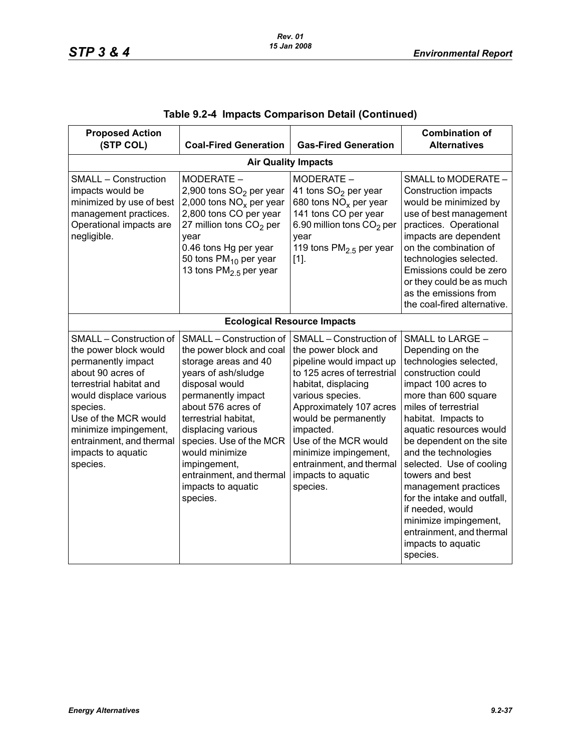| <b>Proposed Action</b><br>(STP COL)                                                                                                                                                                                                                                         | <b>Coal-Fired Generation</b>                                                                                                                                                                                                                                                                                                              | <b>Gas-Fired Generation</b>                                                                                                                                                                                                                                                                                                         | <b>Combination of</b><br><b>Alternatives</b>                                                                                                                                                                                                                                                                                                                                                                                                                                       |  |  |  |
|-----------------------------------------------------------------------------------------------------------------------------------------------------------------------------------------------------------------------------------------------------------------------------|-------------------------------------------------------------------------------------------------------------------------------------------------------------------------------------------------------------------------------------------------------------------------------------------------------------------------------------------|-------------------------------------------------------------------------------------------------------------------------------------------------------------------------------------------------------------------------------------------------------------------------------------------------------------------------------------|------------------------------------------------------------------------------------------------------------------------------------------------------------------------------------------------------------------------------------------------------------------------------------------------------------------------------------------------------------------------------------------------------------------------------------------------------------------------------------|--|--|--|
|                                                                                                                                                                                                                                                                             |                                                                                                                                                                                                                                                                                                                                           | <b>Air Quality Impacts</b>                                                                                                                                                                                                                                                                                                          |                                                                                                                                                                                                                                                                                                                                                                                                                                                                                    |  |  |  |
| <b>SMALL - Construction</b><br>impacts would be<br>minimized by use of best<br>management practices.<br>Operational impacts are<br>negligible.                                                                                                                              | MODERATE -<br>2,900 tons SO <sub>2</sub> per year<br>2,000 tons $NOx$ per year<br>2,800 tons CO per year<br>27 million tons CO <sub>2</sub> per<br>year<br>0.46 tons Hg per year<br>50 tons PM <sub>10</sub> per year<br>13 tons PM <sub>2.5</sub> per year                                                                               | MODERATE -<br>41 tons SO <sub>2</sub> per year<br>680 tons $NOx$ per year<br>141 tons CO per year<br>6.90 million tons CO <sub>2</sub> per<br>year<br>119 tons $PM2.5$ per year<br>$[1]$ .                                                                                                                                          | SMALL to MODERATE -<br><b>Construction impacts</b><br>would be minimized by<br>use of best management<br>practices. Operational<br>impacts are dependent<br>on the combination of<br>technologies selected.<br>Emissions could be zero<br>or they could be as much<br>as the emissions from<br>the coal-fired alternative.                                                                                                                                                         |  |  |  |
|                                                                                                                                                                                                                                                                             | <b>Ecological Resource Impacts</b>                                                                                                                                                                                                                                                                                                        |                                                                                                                                                                                                                                                                                                                                     |                                                                                                                                                                                                                                                                                                                                                                                                                                                                                    |  |  |  |
| SMALL - Construction of<br>the power block would<br>permanently impact<br>about 90 acres of<br>terrestrial habitat and<br>would displace various<br>species.<br>Use of the MCR would<br>minimize impingement,<br>entrainment, and thermal<br>impacts to aquatic<br>species. | SMALL - Construction of<br>the power block and coal<br>storage areas and 40<br>years of ash/sludge<br>disposal would<br>permanently impact<br>about 576 acres of<br>terrestrial habitat,<br>displacing various<br>species. Use of the MCR<br>would minimize<br>impingement,<br>entrainment, and thermal<br>impacts to aquatic<br>species. | SMALL - Construction of<br>the power block and<br>pipeline would impact up<br>to 125 acres of terrestrial<br>habitat, displacing<br>various species.<br>Approximately 107 acres<br>would be permanently<br>impacted.<br>Use of the MCR would<br>minimize impingement,<br>entrainment, and thermal<br>impacts to aquatic<br>species. | SMALL to LARGE -<br>Depending on the<br>technologies selected,<br>construction could<br>impact 100 acres to<br>more than 600 square<br>miles of terrestrial<br>habitat. Impacts to<br>aquatic resources would<br>be dependent on the site<br>and the technologies<br>selected. Use of cooling<br>towers and best<br>management practices<br>for the intake and outfall,<br>if needed, would<br>minimize impingement,<br>entrainment, and thermal<br>impacts to aquatic<br>species. |  |  |  |

|  |  | Table 9.2-4 Impacts Comparison Detail (Continued) |  |  |
|--|--|---------------------------------------------------|--|--|
|--|--|---------------------------------------------------|--|--|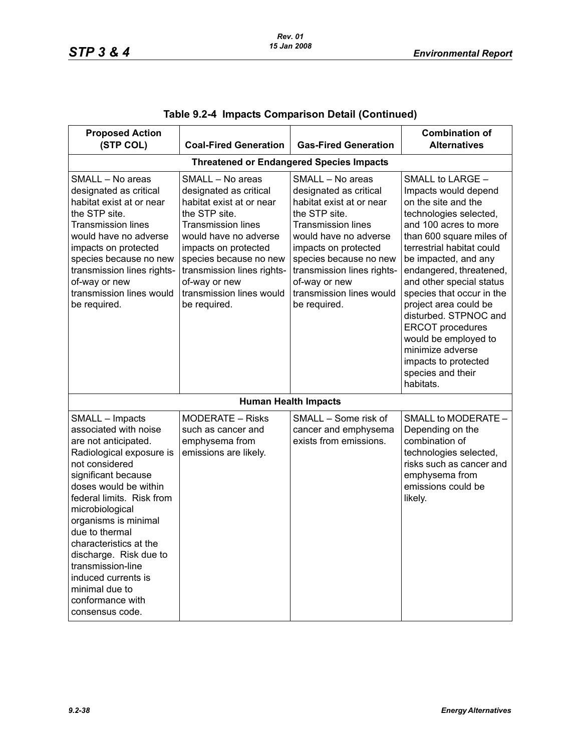| <b>Proposed Action</b><br>(STP COL)                                                                                                                                                                                                                                                                                                                                                                               | <b>Coal-Fired Generation</b>                                                                                                                                                                                                                                                               | <b>Gas-Fired Generation</b>                                                                                                                                                                                                                                                                | <b>Combination of</b><br><b>Alternatives</b>                                                                                                                                                                                                                                                                                                                                                                                                                               |  |  |
|-------------------------------------------------------------------------------------------------------------------------------------------------------------------------------------------------------------------------------------------------------------------------------------------------------------------------------------------------------------------------------------------------------------------|--------------------------------------------------------------------------------------------------------------------------------------------------------------------------------------------------------------------------------------------------------------------------------------------|--------------------------------------------------------------------------------------------------------------------------------------------------------------------------------------------------------------------------------------------------------------------------------------------|----------------------------------------------------------------------------------------------------------------------------------------------------------------------------------------------------------------------------------------------------------------------------------------------------------------------------------------------------------------------------------------------------------------------------------------------------------------------------|--|--|
| <b>Threatened or Endangered Species Impacts</b>                                                                                                                                                                                                                                                                                                                                                                   |                                                                                                                                                                                                                                                                                            |                                                                                                                                                                                                                                                                                            |                                                                                                                                                                                                                                                                                                                                                                                                                                                                            |  |  |
| SMALL - No areas<br>designated as critical<br>habitat exist at or near<br>the STP site.<br><b>Transmission lines</b><br>would have no adverse<br>impacts on protected<br>species because no new<br>transmission lines rights-<br>of-way or new<br>transmission lines would<br>be required.                                                                                                                        | SMALL - No areas<br>designated as critical<br>habitat exist at or near<br>the STP site.<br><b>Transmission lines</b><br>would have no adverse<br>impacts on protected<br>species because no new<br>transmission lines rights-<br>of-way or new<br>transmission lines would<br>be required. | SMALL - No areas<br>designated as critical<br>habitat exist at or near<br>the STP site.<br><b>Transmission lines</b><br>would have no adverse<br>impacts on protected<br>species because no new<br>transmission lines rights-<br>of-way or new<br>transmission lines would<br>be required. | SMALL to LARGE -<br>Impacts would depend<br>on the site and the<br>technologies selected,<br>and 100 acres to more<br>than 600 square miles of<br>terrestrial habitat could<br>be impacted, and any<br>endangered, threatened,<br>and other special status<br>species that occur in the<br>project area could be<br>disturbed. STPNOC and<br><b>ERCOT</b> procedures<br>would be employed to<br>minimize adverse<br>impacts to protected<br>species and their<br>habitats. |  |  |
|                                                                                                                                                                                                                                                                                                                                                                                                                   |                                                                                                                                                                                                                                                                                            | <b>Human Health Impacts</b>                                                                                                                                                                                                                                                                |                                                                                                                                                                                                                                                                                                                                                                                                                                                                            |  |  |
| SMALL - Impacts<br>associated with noise<br>are not anticipated.<br>Radiological exposure is<br>not considered<br>significant because<br>doses would be within<br>federal limits. Risk from<br>microbiological<br>organisms is minimal<br>due to thermal<br>characteristics at the<br>discharge. Risk due to<br>transmission-line<br>induced currents is<br>minimal due to<br>conformance with<br>consensus code. | <b>MODERATE – Risks</b><br>such as cancer and<br>emphysema from<br>emissions are likely.                                                                                                                                                                                                   | SMALL - Some risk of<br>cancer and emphysema<br>exists from emissions.                                                                                                                                                                                                                     | SMALL to MODERATE -<br>Depending on the<br>combination of<br>technologies selected,<br>risks such as cancer and<br>emphysema from<br>emissions could be<br>likely.                                                                                                                                                                                                                                                                                                         |  |  |

|  |  | Table 9.2-4  Impacts Comparison Detail (Continued) |  |  |
|--|--|----------------------------------------------------|--|--|
|--|--|----------------------------------------------------|--|--|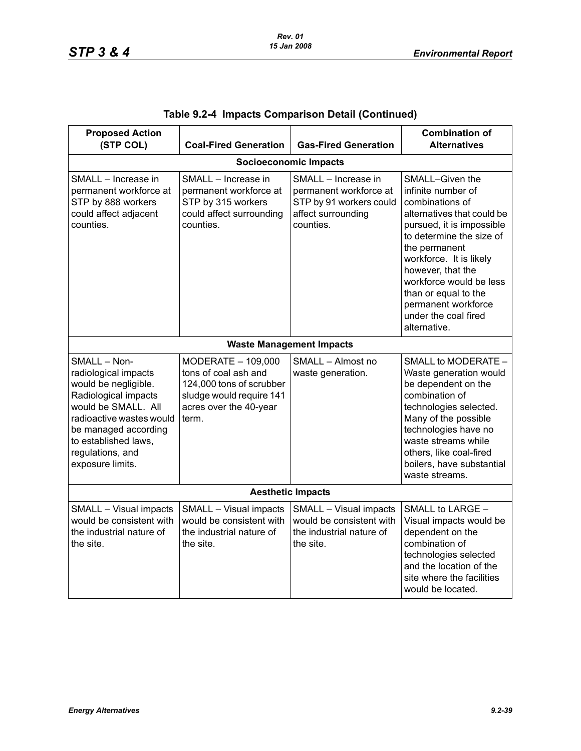| <b>Proposed Action</b><br>(STP COL)                                                                                                                                                                                             | <b>Coal-Fired Generation</b>                                                                                                          | <b>Gas-Fired Generation</b>                                                                                 | <b>Combination of</b><br><b>Alternatives</b>                                                                                                                                                                                                                                                                                       |  |  |
|---------------------------------------------------------------------------------------------------------------------------------------------------------------------------------------------------------------------------------|---------------------------------------------------------------------------------------------------------------------------------------|-------------------------------------------------------------------------------------------------------------|------------------------------------------------------------------------------------------------------------------------------------------------------------------------------------------------------------------------------------------------------------------------------------------------------------------------------------|--|--|
| <b>Socioeconomic Impacts</b>                                                                                                                                                                                                    |                                                                                                                                       |                                                                                                             |                                                                                                                                                                                                                                                                                                                                    |  |  |
| SMALL - Increase in<br>permanent workforce at<br>STP by 888 workers<br>could affect adjacent<br>counties.                                                                                                                       | SMALL - Increase in<br>permanent workforce at<br>STP by 315 workers<br>could affect surrounding<br>counties.                          | SMALL - Increase in<br>permanent workforce at<br>STP by 91 workers could<br>affect surrounding<br>counties. | SMALL-Given the<br>infinite number of<br>combinations of<br>alternatives that could be<br>pursued, it is impossible<br>to determine the size of<br>the permanent<br>workforce. It is likely<br>however, that the<br>workforce would be less<br>than or equal to the<br>permanent workforce<br>under the coal fired<br>alternative. |  |  |
|                                                                                                                                                                                                                                 |                                                                                                                                       | <b>Waste Management Impacts</b>                                                                             |                                                                                                                                                                                                                                                                                                                                    |  |  |
| SMALL - Non-<br>radiological impacts<br>would be negligible.<br>Radiological impacts<br>would be SMALL. All<br>radioactive wastes would<br>be managed according<br>to established laws,<br>regulations, and<br>exposure limits. | MODERATE - 109,000<br>tons of coal ash and<br>124,000 tons of scrubber<br>sludge would require 141<br>acres over the 40-year<br>term. | SMALL - Almost no<br>waste generation.                                                                      | SMALL to MODERATE -<br>Waste generation would<br>be dependent on the<br>combination of<br>technologies selected.<br>Many of the possible<br>technologies have no<br>waste streams while<br>others, like coal-fired<br>boilers, have substantial<br>waste streams.                                                                  |  |  |
| <b>Aesthetic Impacts</b>                                                                                                                                                                                                        |                                                                                                                                       |                                                                                                             |                                                                                                                                                                                                                                                                                                                                    |  |  |
| SMALL - Visual impacts<br>would be consistent with<br>the industrial nature of<br>the site.                                                                                                                                     | SMALL - Visual impacts<br>would be consistent with<br>the industrial nature of<br>the site.                                           | SMALL - Visual impacts<br>would be consistent with<br>the industrial nature of<br>the site.                 | SMALL to LARGE -<br>Visual impacts would be<br>dependent on the<br>combination of<br>technologies selected<br>and the location of the<br>site where the facilities<br>would be located.                                                                                                                                            |  |  |

|  |  | Table 9.2-4 Impacts Comparison Detail (Continued) |  |  |
|--|--|---------------------------------------------------|--|--|
|--|--|---------------------------------------------------|--|--|